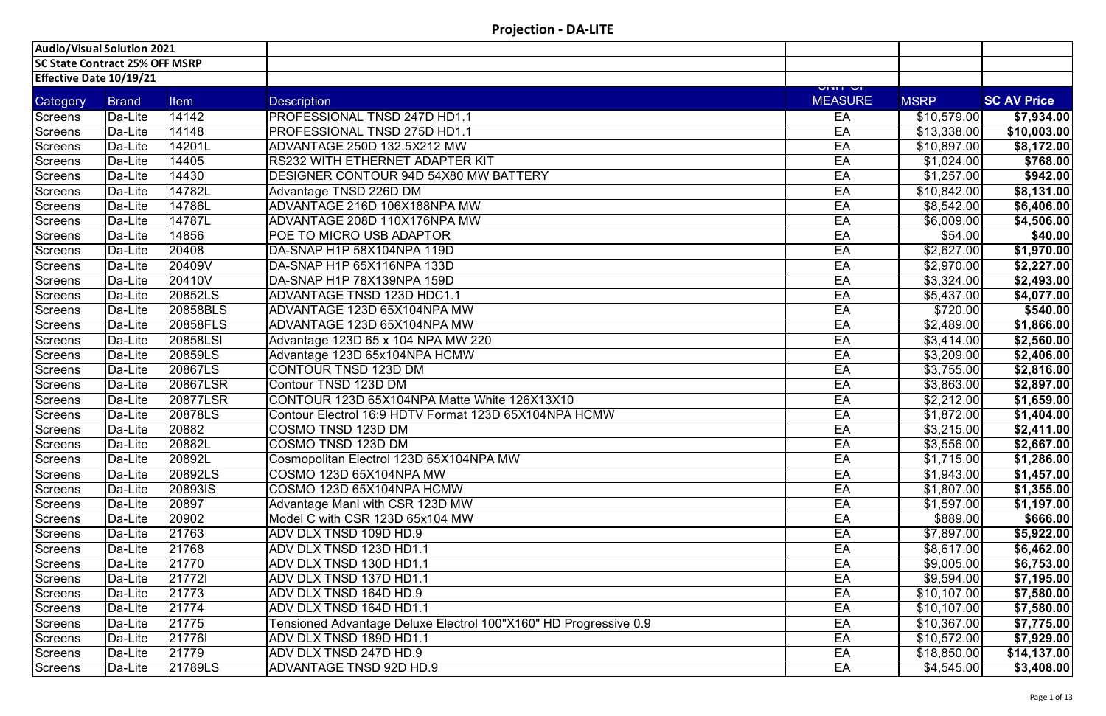| Audio/Visual Solution 2021     |                                       |             |                                                                  |                            |                   |                    |
|--------------------------------|---------------------------------------|-------------|------------------------------------------------------------------|----------------------------|-------------------|--------------------|
|                                | <b>SC State Contract 25% OFF MSRP</b> |             |                                                                  |                            |                   |                    |
| <b>Effective Date 10/19/21</b> |                                       |             |                                                                  |                            |                   |                    |
| Category                       | <b>Brand</b>                          | <b>Item</b> | <b>Description</b>                                               | וט וויוט<br><b>MEASURE</b> | MSRP <sup>1</sup> | <b>SC AV Price</b> |
| Screens                        | Da-Lite                               | 14142       | PROFESSIONAL TNSD 247D HD1.1                                     | EA                         | \$10,579.00       | \$7,934.00         |
| <b>Screens</b>                 | Da-Lite                               | 14148       | PROFESSIONAL TNSD 275D HD1.1                                     | EA                         | \$13,338.00       | \$10,003.00        |
| <b>Screens</b>                 | Da-Lite                               | 14201L      | ADVANTAGE 250D 132.5X212 MW                                      | EA                         | \$10,897.00       | \$8,172.00         |
| <b>Screens</b>                 | Da-Lite                               | 14405       | RS232 WITH ETHERNET ADAPTER KIT                                  | EA                         | \$1,024.00        | \$768.00           |
| <b>Screens</b>                 | Da-Lite                               | 14430       | DESIGNER CONTOUR 94D 54X80 MW BATTERY                            | EA                         | \$1,257.00        | \$942.00           |
| Screens                        | Da-Lite                               | 14782L      | Advantage TNSD 226D DM                                           | EA                         | \$10,842.00       | \$8,131.00         |
| <b>Screens</b>                 | Da-Lite                               | 14786L      | ADVANTAGE 216D 106X188NPA MW                                     | EA                         | \$8,542.00        | \$6,406.00         |
| <b>Screens</b>                 | Da-Lite                               | 14787L      | ADVANTAGE 208D 110X176NPA MW                                     | EA                         | \$6,009.00        | \$4,506.00         |
| Screens                        | Da-Lite                               | 14856       | <b>POE TO MICRO USB ADAPTOR</b>                                  | EA                         | \$54.00           | \$40.00            |
| <b>Screens</b>                 | Da-Lite                               | 20408       | DA-SNAP H1P 58X104NPA 119D                                       | EA                         | \$2,627.00        | \$1,970.00         |
| <b>Screens</b>                 | Da-Lite                               | 20409V      | DA-SNAP H1P 65X116NPA 133D                                       | EA                         | \$2,970.00        | \$2,227.00         |
| <b>Screens</b>                 | Da-Lite                               | 20410V      | DA-SNAP H1P 78X139NPA 159D                                       | EA                         | \$3,324.00        | \$2,493.00         |
| Screens                        | Da-Lite                               | 20852LS     | ADVANTAGE TNSD 123D HDC1.1                                       | EA                         | \$5,437.00        | \$4,077.00         |
| Screens                        | Da-Lite                               | 20858BLS    | ADVANTAGE 123D 65X104NPA MW                                      | EA                         | \$720.00          | \$540.00           |
| <b>Screens</b>                 | Da-Lite                               | 20858FLS    | ADVANTAGE 123D 65X104NPA MW                                      | EA                         | \$2,489.00        | \$1,866.00         |
| <b>Screens</b>                 | Da-Lite                               | 20858LSI    | Advantage 123D 65 x 104 NPA MW 220                               | EA                         | \$3,414.00        | \$2,560.00         |
| Screens                        | Da-Lite                               | 20859LS     | Advantage 123D 65x104NPA HCMW                                    | EA                         | \$3,209.00        | \$2,406.00         |
| <b>Screens</b>                 | Da-Lite                               | 20867LS     | CONTOUR TNSD 123D DM                                             | EA                         | \$3,755.00        | \$2,816.00         |
| <b>Screens</b>                 | Da-Lite                               | 20867LSR    | Contour TNSD 123D DM                                             | EA                         | \$3,863.00        | \$2,897.00         |
| <b>Screens</b>                 | Da-Lite                               | 20877LSR    | CONTOUR 123D 65X104NPA Matte White 126X13X10                     | EA                         | \$2,212.00        | \$1,659.00         |
| <b>Screens</b>                 | Da-Lite                               | 20878LS     | Contour Electrol 16:9 HDTV Format 123D 65X104NPA HCMW            | EA                         | \$1,872.00        | $\sqrt{$1,404.00}$ |
| Screens                        | Da-Lite                               | 20882       | COSMO TNSD 123D DM                                               | EA                         | \$3,215.00        | \$2,411.00         |
| <b>Screens</b>                 | Da-Lite                               | 20882L      | COSMO TNSD 123D DM                                               | EA                         | \$3,556.00        | \$2,667.00         |
| Screens                        | Da-Lite                               | 20892L      | Cosmopolitan Electrol 123D 65X104NPA MW                          | EA                         | \$1,715.00        | \$1,286.00         |
| Screens                        | Da-Lite                               | 20892LS     | COSMO 123D 65X104NPA MW                                          | EA                         | \$1,943.00        | \$1,457.00         |
| Screens                        | Da-Lite                               | 20893IS     | COSMO 123D 65X104NPA HCMW                                        | EA                         | \$1,807.00        | \$1,355.00         |
| <b>Screens</b>                 | Da-Lite                               | 20897       | Advantage Manl with CSR 123D MW                                  | EA                         | \$1,597.00        | \$1,197.00         |
| Screens                        | Da-Lite                               | 20902       | Model C with CSR 123D 65x104 MW                                  | EA                         | \$889.00          | \$666.00           |
| Screens                        | Da-Lite                               | 21763       | ADV DLX TNSD 109D HD.9                                           | EA                         | \$7,897.00        | \$5,922.00         |
| Screens                        | Da-Lite                               | 21768       | ADV DLX TNSD 123D HD1.1                                          | EA                         | \$8,617.00        | \$6,462.00         |
| Screens                        | Da-Lite                               | 21770       | ADV DLX TNSD 130D HD1.1                                          | EA                         | \$9,005.00        | \$6,753.00         |
| Screens                        | Da-Lite                               | 217721      | ADV DLX TNSD 137D HD1.1                                          | EA                         | \$9,594.00        | \$7,195.00         |
| Screens                        | Da-Lite                               | 21773       | ADV DLX TNSD 164D HD.9                                           | EA                         | \$10,107.00       | \$7,580.00         |
| Screens                        | Da-Lite                               | 21774       | ADV DLX TNSD 164D HD1.1                                          | EA                         | \$10,107.00       | \$7,580.00         |
| <b>Screens</b>                 | Da-Lite                               | 21775       | Tensioned Advantage Deluxe Electrol 100"X160" HD Progressive 0.9 | EA                         | \$10,367.00       | \$7,775.00         |
| Screens                        | Da-Lite                               | 217761      | ADV DLX TNSD 189D HD1.1                                          | EA                         | \$10,572.00       | \$7,929.00         |
| Screens                        | Da-Lite                               | 21779       | ADV DLX TNSD 247D HD.9                                           | EA                         | \$18,850.00       | \$14,137.00        |
| Screens                        | Da-Lite                               | 21789LS     | ADVANTAGE TNSD 92D HD.9                                          | EA                         | \$4,545.00        | \$3,408.00         |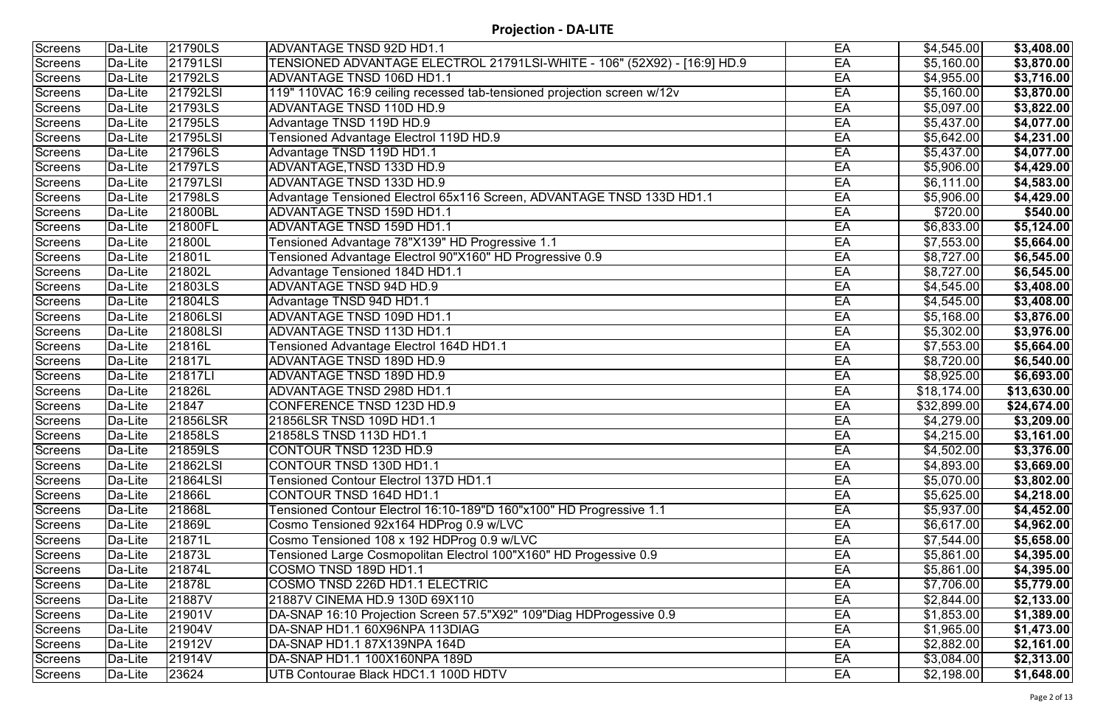| <b>Screens</b> | Da-Lite | 21790LS  | <b>ADVANTAGE TNSD 92D HD1.1</b>                                          | EA | \$4,545.00  | \$3,408.00  |
|----------------|---------|----------|--------------------------------------------------------------------------|----|-------------|-------------|
| <b>Screens</b> | Da-Lite | 21791LSI | TENSIONED ADVANTAGE ELECTROL 21791LSI-WHITE - 106" (52X92) - [16:9] HD.9 | EA | \$5,160.00  | \$3,870.00  |
| <b>Screens</b> | Da-Lite | 21792LS  | <b>ADVANTAGE TNSD 106D HD1.1</b>                                         | EA | \$4,955.00  | \$3,716.00  |
| Screens        | Da-Lite | 21792LSI | 119" 110VAC 16:9 ceiling recessed tab-tensioned projection screen w/12v  | EA | \$5,160.00  | \$3,870.00  |
| <b>Screens</b> | Da-Lite | 21793LS  | <b>ADVANTAGE TNSD 110D HD.9</b>                                          | EA | \$5,097.00  | \$3,822.00  |
| <b>Screens</b> | Da-Lite | 21795LS  | Advantage TNSD 119D HD.9                                                 | EA | \$5,437.00  | \$4,077.00  |
| <b>Screens</b> | Da-Lite | 21795LSI | Tensioned Advantage Electrol 119D HD.9                                   | EA | \$5,642.00  | \$4,231.00  |
| Screens        | Da-Lite | 21796LS  | Advantage TNSD 119D HD1.1                                                | EA | \$5,437.00  | \$4,077.00  |
| <b>Screens</b> | Da-Lite | 21797LS  | ADVANTAGE, TNSD 133D HD.9                                                | EA | \$5,906.00  | \$4,429.00  |
| <b>Screens</b> | Da-Lite | 21797LSI | ADVANTAGE TNSD 133D HD.9                                                 | EA | \$6,111.00  | \$4,583.00  |
| Screens        | Da-Lite | 21798LS  | Advantage Tensioned Electrol 65x116 Screen, ADVANTAGE TNSD 133D HD1.1    | EA | \$5,906.00  | \$4,429.00  |
| Screens        | Da-Lite | 21800BL  | ADVANTAGE TNSD 159D HD1.1                                                | EA | \$720.00    | \$540.00    |
| <b>Screens</b> | Da-Lite | 21800FL  | <b>ADVANTAGE TNSD 159D HD1.1</b>                                         | EA | \$6,833.00  | \$5,124.00  |
| Screens        | Da-Lite | 21800L   | Tensioned Advantage 78"X139" HD Progressive 1.1                          | EA | \$7,553.00  | \$5,664.00  |
| <b>Screens</b> | Da-Lite | 21801L   | Tensioned Advantage Electrol 90"X160" HD Progressive 0.9                 | EA | \$8,727.00  | \$6,545.00  |
| <b>Screens</b> | Da-Lite | 21802L   | <b>Advantage Tensioned 184D HD1.1</b>                                    | EA | \$8,727.00  | \$6,545.00  |
| <b>Screens</b> | Da-Lite | 21803LS  | <b>ADVANTAGE TNSD 94D HD.9</b>                                           | EA | \$4,545.00  | \$3,408.00  |
| Screens        | Da-Lite | 21804LS  | Advantage TNSD 94D HD1.1                                                 | EA | \$4,545.00  | \$3,408.00  |
| Screens        | Da-Lite | 21806LSI | ADVANTAGE TNSD 109D HD1.1                                                | EA | \$5,168.00  | \$3,876.00  |
| Screens        | Da-Lite | 21808LSI | ADVANTAGE TNSD 113D HD1.1                                                | EA | \$5,302.00  | \$3,976.00  |
| <b>Screens</b> | Da-Lite | 21816L   | Tensioned Advantage Electrol 164D HD1.1                                  | EA | \$7,553.00  | \$5,664.00  |
| Screens        | Da-Lite | 21817L   | ADVANTAGE TNSD 189D HD.9                                                 | EA | \$8,720.00  | \$6,540.00  |
| Screens        | Da-Lite | 21817LI  | ADVANTAGE TNSD 189D HD.9                                                 | EA | \$8,925.00  | \$6,693.00  |
| Screens        | Da-Lite | 21826L   | ADVANTAGE TNSD 298D HD1.1                                                | EA | \$18,174.00 | \$13,630.00 |
| <b>Screens</b> | Da-Lite | 21847    | CONFERENCE TNSD 123D HD.9                                                | EA | \$32,899.00 | \$24,674.00 |
| <b>Screens</b> | Da-Lite | 21856LSR | 21856LSR TNSD 109D HD1.1                                                 | EA | \$4,279.00  | \$3,209.00  |
| <b>Screens</b> | Da-Lite | 21858LS  | 21858LS TNSD 113D HD1.1                                                  | EA | \$4,215.00  | \$3,161.00  |
| Screens        | Da-Lite | 21859LS  | CONTOUR TNSD 123D HD.9                                                   | EA | \$4,502.00  | \$3,376.00  |
| <b>Screens</b> | Da-Lite | 21862LSI | CONTOUR TNSD 130D HD1.1                                                  | EA | \$4,893.00  | \$3,669.00  |
| <b>Screens</b> | Da-Lite | 21864LSI | Tensioned Contour Electrol 137D HD1.1                                    | EA | \$5,070.00  | \$3,802.00  |
| Screens        | Da-Lite | 21866L   | <b>CONTOUR TNSD 164D HD1.1</b>                                           | EA | \$5,625.00  | \$4,218.00  |
| Screens        | Da-Lite | 21868L   | Tensioned Contour Electrol 16:10-189"D 160"x100" HD Progressive 1.1      | EA | \$5,937.00  | \$4,452.00  |
| <b>Screens</b> | Da-Lite | 21869L   | Cosmo Tensioned 92x164 HDProg 0.9 w/LVC                                  | EA | \$6,617.00  | \$4,962.00  |
| <b>Screens</b> | Da-Lite | 21871L   | Cosmo Tensioned 108 x 192 HDProg 0.9 w/LVC                               | EA | \$7,544.00  | \$5,658.00  |
| Screens        | Da-Lite | 21873L   | Tensioned Large Cosmopolitan Electrol 100"X160" HD Progessive 0.9        | EA | \$5,861.00  | \$4,395.00  |
| Screens        | Da-Lite | 21874L   | COSMO TNSD 189D HD1.1                                                    | EA | \$5,861.00  | \$4,395.00  |
| <b>Screens</b> | Da-Lite | 21878L   | COSMO TNSD 226D HD1.1 ELECTRIC                                           | EA | \$7,706.00  | \$5,779.00  |
| Screens        | Da-Lite | 21887V   | 21887V CINEMA HD.9 130D 69X110                                           | EA | \$2,844.00  | \$2,133.00  |
| <b>Screens</b> | Da-Lite | 21901V   | DA-SNAP 16:10 Projection Screen 57.5"X92" 109"Diag HDProgessive 0.9      | EA | \$1,853.00  | \$1,389.00  |
| <b>Screens</b> | Da-Lite | 21904V   | DA-SNAP HD1.1 60X96NPA 113DIAG                                           | EA | \$1,965.00  | \$1,473.00  |
| Screens        | Da-Lite | 21912V   | DA-SNAP HD1.1 87X139NPA 164D                                             | EA | \$2,882.00  | \$2,161.00  |
| Screens        | Da-Lite | 21914V   | DA-SNAP HD1.1 100X160NPA 189D                                            | EA | \$3,084.00  | \$2,313.00  |
| Screens        | Da-Lite | 23624    | UTB Contourae Black HDC1.1 100D HDTV                                     | EA | \$2,198.00  | \$1,648.00  |
|                |         |          |                                                                          |    |             |             |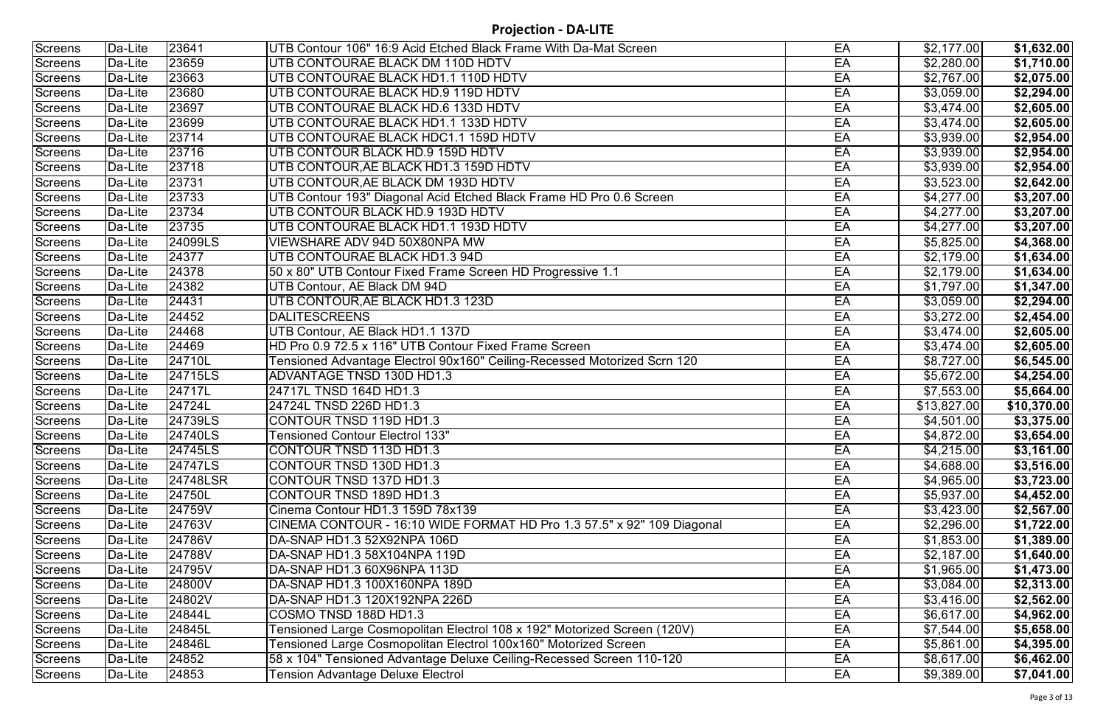| Screens        | Da-Lite | 23641    | UTB Contour 106" 16:9 Acid Etched Black Frame With Da-Mat Screen         | EA | \$2,177.00  | \$1,632.00  |
|----------------|---------|----------|--------------------------------------------------------------------------|----|-------------|-------------|
| Screens        | Da-Lite | 23659    | UTB CONTOURAE BLACK DM 110D HDTV                                         | EA | \$2,280.00  | \$1,710.00  |
| Screens        | Da-Lite | 23663    | UTB CONTOURAE BLACK HD1.1 110D HDTV                                      | EA | \$2,767.00  | \$2,075.00  |
| Screens        | Da-Lite | 23680    | UTB CONTOURAE BLACK HD.9 119D HDTV                                       | EA | \$3,059.00  | \$2,294.00  |
| Screens        | Da-Lite | 23697    | UTB CONTOURAE BLACK HD.6 133D HDTV                                       | EA | \$3,474.00  | \$2,605.00  |
| Screens        | Da-Lite | 23699    | UTB CONTOURAE BLACK HD1.1 133D HDTV                                      | EA | \$3,474.00  | \$2,605.00  |
| Screens        | Da-Lite | 23714    | UTB CONTOURAE BLACK HDC1.1 159D HDTV                                     | EA | \$3,939.00  | \$2,954.00  |
| Screens        | Da-Lite | 23716    | UTB CONTOUR BLACK HD.9 159D HDTV                                         | EA | \$3,939.00  | \$2,954.00  |
| Screens        | Da-Lite | 23718    | UTB CONTOUR, AE BLACK HD1.3 159D HDTV                                    | EA | \$3,939.00  | \$2,954.00  |
| Screens        | Da-Lite | 23731    | UTB CONTOUR, AE BLACK DM 193D HDTV                                       | EA | \$3,523.00  | \$2,642.00  |
| Screens        | Da-Lite | 23733    | UTB Contour 193" Diagonal Acid Etched Black Frame HD Pro 0.6 Screen      | EA | \$4,277.00  | \$3,207.00  |
| Screens        | Da-Lite | 23734    | UTB CONTOUR BLACK HD.9 193D HDTV                                         | EA | \$4,277.00  | \$3,207.00  |
| Screens        | Da-Lite | 23735    | UTB CONTOURAE BLACK HD1.1 193D HDTV                                      | EA | \$4,277.00  | \$3,207.00  |
| Screens        | Da-Lite | 24099LS  | VIEWSHARE ADV 94D 50X80NPA MW                                            | EA | \$5,825.00  | \$4,368.00  |
| Screens        | Da-Lite | 24377    | UTB CONTOURAE BLACK HD1.3 94D                                            | EA | \$2,179.00  | \$1,634.00  |
| Screens        | Da-Lite | 24378    | 50 x 80" UTB Contour Fixed Frame Screen HD Progressive 1.1               | EA | \$2,179.00  | \$1,634.00  |
| Screens        | Da-Lite | 24382    | UTB Contour, AE Black DM 94D                                             | EA | \$1,797.00  | \$1,347.00  |
| Screens        | Da-Lite | 24431    | UTB CONTOUR, AE BLACK HD1.3 123D                                         | EA | \$3,059.00  | \$2,294.00  |
| Screens        | Da-Lite | 24452    | <b>DALITESCREENS</b>                                                     | EA | \$3,272.00  | \$2,454.00  |
| Screens        | Da-Lite | 24468    | UTB Contour, AE Black HD1.1 137D                                         | EA | \$3,474.00  | \$2,605.00  |
| Screens        | Da-Lite | 24469    | HD Pro 0.9 72.5 x 116" UTB Contour Fixed Frame Screen                    | EA | \$3,474.00  | \$2,605.00  |
| Screens        | Da-Lite | 24710L   | Tensioned Advantage Electrol 90x160" Ceiling-Recessed Motorized Scrn 120 | EA | \$8,727.00  | \$6,545.00  |
| Screens        | Da-Lite | 24715LS  | ADVANTAGE TNSD 130D HD1.3                                                | EA | \$5,672.00  | \$4,254.00  |
| Screens        | Da-Lite | 24717L   | 24717L TNSD 164D HD1.3                                                   | EA | \$7,553.00  | \$5,664.00  |
| Screens        | Da-Lite | 24724L   | 24724L TNSD 226D HD1.3                                                   | EA | \$13,827.00 | \$10,370.00 |
| Screens        | Da-Lite | 24739LS  | CONTOUR TNSD 119D HD1.3                                                  | EA | \$4,501.00  | \$3,375.00  |
| Screens        | Da-Lite | 24740LS  | Tensioned Contour Electrol 133"                                          | EA | \$4,872.00  | \$3,654.00  |
| Screens        | Da-Lite | 24745LS  | CONTOUR TNSD 113D HD1.3                                                  | EA | \$4,215.00  | \$3,161.00  |
| Screens        | Da-Lite | 24747LS  | CONTOUR TNSD 130D HD1.3                                                  | EA | \$4,688.00  | \$3,516.00  |
| Screens        | Da-Lite | 24748LSR | CONTOUR TNSD 137D HD1.3                                                  | EA | \$4,965.00  | \$3,723.00  |
| Screens        | Da-Lite | 24750L   | CONTOUR TNSD 189D HD1.3                                                  | EA | \$5,937.00  | \$4,452.00  |
| Screens        | Da-Lite | 24759V   | Cinema Contour HD1.3 159D 78x139                                         | EA | \$3,423.00  | \$2,567.00  |
| Screens        | Da-Lite | 24763V   | CINEMA CONTOUR - 16:10 WIDE FORMAT HD Pro 1.3 57.5" x 92" 109 Diagonal   | EA | \$2,296.00  | \$1,722.00  |
| Screens        | Da-Lite | 24786V   | DA-SNAP HD1.3 52X92NPA 106D                                              | EA | \$1,853.00  | \$1,389.00  |
| <b>Screens</b> | Da-Lite | 24788V   | DA-SNAP HD1.3 58X104NPA 119D                                             | EA | \$2,187.00  | \$1,640.00  |
| Screens        | Da-Lite | 24795V   | DA-SNAP HD1.3 60X96NPA 113D                                              | EA | \$1,965.00  | \$1,473.00  |
| Screens        | Da-Lite | 24800V   | DA-SNAP HD1.3 100X160NPA 189D                                            | EA | \$3,084.00  | \$2,313.00  |
| Screens        | Da-Lite | 24802V   | DA-SNAP HD1.3 120X192NPA 226D                                            | EA | \$3,416.00  | \$2,562.00  |
| Screens        | Da-Lite | 24844L   | COSMO TNSD 188D HD1.3                                                    | EA | \$6,617.00  | \$4,962.00  |
| Screens        | Da-Lite | 24845L   | Tensioned Large Cosmopolitan Electrol 108 x 192" Motorized Screen (120V) | EA | \$7,544.00  | \$5,658.00  |
| Screens        | Da-Lite | 24846L   | Tensioned Large Cosmopolitan Electrol 100x160" Motorized Screen          | EA | \$5,861.00  | \$4,395.00  |
| Screens        | Da-Lite | 24852    | 58 x 104" Tensioned Advantage Deluxe Ceiling-Recessed Screen 110-120     | EA | \$8,617.00  | \$6,462.00  |
| Screens        | Da-Lite | 24853    | <b>Tension Advantage Deluxe Electrol</b>                                 | EA | \$9,389.00  | \$7,041.00  |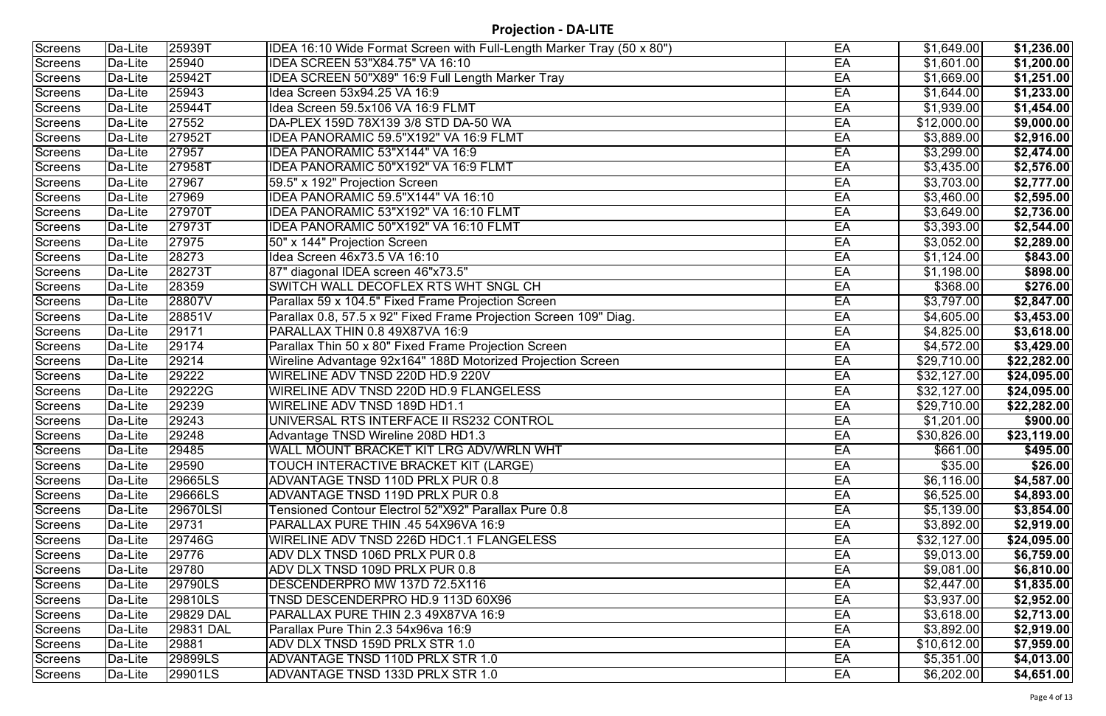| Screens        | Da-Lite | 25939T    | IDEA 16:10 Wide Format Screen with Full-Length Marker Tray (50 x 80") | EA | \$1,649.00  | \$1,236.00         |
|----------------|---------|-----------|-----------------------------------------------------------------------|----|-------------|--------------------|
| <b>Screens</b> | Da-Lite | 25940     | IDEA SCREEN 53"X84.75" VA 16:10                                       | EA | \$1,601.00  | \$1,200.00         |
| <b>Screens</b> | Da-Lite | 25942T    | IDEA SCREEN 50"X89" 16:9 Full Length Marker Tray                      | EA | \$1,669.00  | \$1,251.00         |
| Screens        | Da-Lite | 25943     | Idea Screen 53x94.25 VA 16:9                                          | EA | \$1,644.00  | \$1,233.00         |
| <b>Screens</b> | Da-Lite | 25944T    | Idea Screen 59.5x106 VA 16:9 FLMT                                     | EA | \$1,939.00  | \$1,454.00         |
| <b>Screens</b> | Da-Lite | 27552     | DA-PLEX 159D 78X139 3/8 STD DA-50 WA                                  | EA | \$12,000.00 | $\sqrt{59,000.00}$ |
| <b>Screens</b> | Da-Lite | 27952T    | IDEA PANORAMIC 59.5"X192" VA 16:9 FLMT                                | EA | \$3,889.00  | \$2,916.00         |
| Screens        | Da-Lite | 27957     | IDEA PANORAMIC 53"X144" VA 16:9                                       | EA | \$3,299.00  | \$2,474.00         |
| <b>Screens</b> | Da-Lite | 27958T    | IDEA PANORAMIC 50"X192" VA 16:9 FLMT                                  | EA | \$3,435.00  | \$2,576.00         |
| <b>Screens</b> | Da-Lite | 27967     | 59.5" x 192" Projection Screen                                        | EA | \$3,703.00  | \$2,777.00         |
| <b>Screens</b> | Da-Lite | 27969     | IDEA PANORAMIC 59.5"X144" VA 16:10                                    | EA | \$3,460.00  | \$2,595.00         |
| <b>Screens</b> | Da-Lite | 27970T    | IDEA PANORAMIC 53"X192" VA 16:10 FLMT                                 | EA | \$3,649.00  | \$2,736.00         |
| Screens        | Da-Lite | 27973T    | IDEA PANORAMIC 50"X192" VA 16:10 FLMT                                 | EA | \$3,393.00  | \$2,544.00         |
| Screens        | Da-Lite | 27975     | 50" x 144" Projection Screen                                          | EA | \$3,052.00  | \$2,289.00         |
| <b>Screens</b> | Da-Lite | 28273     | Idea Screen 46x73.5 VA 16:10                                          | EA | \$1,124.00  | \$843.00           |
| Screens        | Da-Lite | 28273T    | 87" diagonal IDEA screen 46"x73.5"                                    | EA | \$1,198.00  | \$898.00           |
| Screens        | Da-Lite | 28359     | SWITCH WALL DECOFLEX RTS WHT SNGL CH                                  | EA | \$368.00    | \$276.00           |
| <b>Screens</b> | Da-Lite | 28807V    | Parallax 59 x 104.5" Fixed Frame Projection Screen                    | EA | \$3,797.00  | \$2,847.00         |
| <b>Screens</b> | Da-Lite | 28851V    | Parallax 0.8, 57.5 x 92" Fixed Frame Projection Screen 109" Diag.     | EA | \$4,605.00  | \$3,453.00         |
| <b>Screens</b> | Da-Lite | 29171     | PARALLAX THIN 0.8 49X87VA 16:9                                        | EA | \$4,825.00  | \$3,618.00         |
| Screens        | Da-Lite | 29174     | Parallax Thin 50 x 80" Fixed Frame Projection Screen                  | EA | \$4,572.00  | \$3,429.00         |
| <b>Screens</b> | Da-Lite | 29214     | Wireline Advantage 92x164" 188D Motorized Projection Screen           | EA | \$29,710.00 | \$22,282.00        |
| <b>Screens</b> | Da-Lite | 29222     | WIRELINE ADV TNSD 220D HD.9 220V                                      | EA | \$32,127.00 | \$24,095.00        |
| <b>Screens</b> | Da-Lite | 29222G    | WIRELINE ADV TNSD 220D HD.9 FLANGELESS                                | EA | \$32,127.00 | \$24,095.00        |
| Screens        | Da-Lite | 29239     | WIRELINE ADV TNSD 189D HD1.1                                          | EA | \$29,710.00 | \$22,282.00        |
| <b>Screens</b> | Da-Lite | 29243     | UNIVERSAL RTS INTERFACE II RS232 CONTROL                              | EA | \$1,201.00  | \$900.00           |
| Screens        | Da-Lite | 29248     | Advantage TNSD Wireline 208D HD1.3                                    | EA | \$30,826.00 | \$23,119.00        |
| Screens        | Da-Lite | 29485     | WALL MOUNT BRACKET KIT LRG ADV/WRLN WHT                               | EA | \$661.00    | \$495.00           |
| Screens        | Da-Lite | 29590     | <b>TOUCH INTERACTIVE BRACKET KIT (LARGE)</b>                          | EA | \$35.00     | \$26.00            |
| Screens        | Da-Lite | 29665LS   | ADVANTAGE TNSD 110D PRLX PUR 0.8                                      | EA | \$6,116.00  | \$4,587.00         |
| Screens        | Da-Lite | 29666LS   | ADVANTAGE TNSD 119D PRLX PUR 0.8                                      | EA | \$6,525.00  | \$4,893.00         |
| Screens        | Da-Lite | 29670LSI  | Tensioned Contour Electrol 52"X92" Parallax Pure 0.8                  | EA | \$5,139.00  | \$3,854.00         |
| Screens        | Da-Lite | 29731     | PARALLAX PURE THIN .45 54X96VA 16:9                                   | EA | \$3,892.00  | \$2,919.00         |
| Screens        | Da-Lite | 29746G    | WIRELINE ADV TNSD 226D HDC1.1 FLANGELESS                              | EA | \$32,127.00 | \$24,095.00        |
| <b>Screens</b> | Da-Lite | 29776     | ADV DLX TNSD 106D PRLX PUR 0.8                                        | EA | \$9,013.00  | \$6,759.00         |
| Screens        | Da-Lite | 29780     | ADV DLX TNSD 109D PRLX PUR 0.8                                        | EA | \$9,081.00  | \$6,810.00         |
| Screens        | Da-Lite | 29790LS   | DESCENDERPRO MW 137D 72.5X116                                         | EA | \$2,447.00  | \$1,835.00         |
| <b>Screens</b> | Da-Lite | 29810LS   | TNSD DESCENDERPRO HD.9 113D 60X96                                     | EA | \$3,937.00  | \$2,952.00         |
| Screens        | Da-Lite | 29829 DAL | PARALLAX PURE THIN 2.3 49X87VA 16:9                                   | EA | \$3,618.00  | \$2,713.00         |
| Screens        | Da-Lite | 29831 DAL | Parallax Pure Thin 2.3 54x96va 16:9                                   | EA | \$3,892.00  | \$2,919.00         |
| Screens        | Da-Lite | 29881     | ADV DLX TNSD 159D PRLX STR 1.0                                        | EA | \$10,612.00 | \$7,959.00         |
| <b>Screens</b> | Da-Lite | 29899LS   | ADVANTAGE TNSD 110D PRLX STR 1.0                                      | EA | \$5,351.00  | \$4,013.00         |
| Screens        | Da-Lite | 29901LS   | ADVANTAGE TNSD 133D PRLX STR 1.0                                      | EA | \$6,202.00  | \$4,651.00         |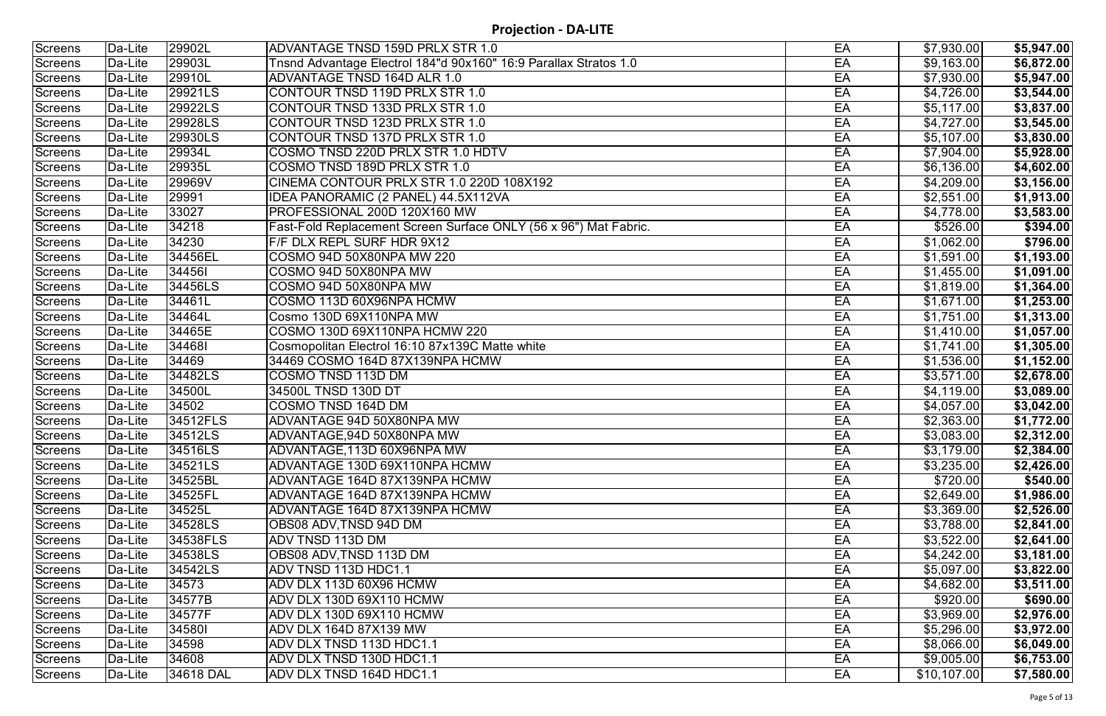| Screens        | Da-Lite | 29902L    | ADVANTAGE TNSD 159D PRLX STR 1.0                                 | EA | \$7,930.00  | \$5,947.00 |
|----------------|---------|-----------|------------------------------------------------------------------|----|-------------|------------|
| <b>Screens</b> | Da-Lite | 29903L    | Tnsnd Advantage Electrol 184"d 90x160" 16:9 Parallax Stratos 1.0 | EA | \$9,163.00  | \$6,872.00 |
| Screens        | Da-Lite | 29910L    | ADVANTAGE TNSD 164D ALR 1.0                                      | EA | \$7,930.00  | \$5,947.00 |
| Screens        | Da-Lite | 29921LS   | CONTOUR TNSD 119D PRLX STR 1.0                                   | EA | \$4,726.00  | \$3,544.00 |
| <b>Screens</b> | Da-Lite | 29922LS   | CONTOUR TNSD 133D PRLX STR 1.0                                   | EA | \$5,117.00  | \$3,837.00 |
| Screens        | Da-Lite | 29928LS   | CONTOUR TNSD 123D PRLX STR 1.0                                   | EA | \$4,727.00  | \$3,545.00 |
| Screens        | Da-Lite | 29930LS   | CONTOUR TNSD 137D PRLX STR 1.0                                   | EA | \$5,107.00  | \$3,830.00 |
| Screens        | Da-Lite | 29934L    | COSMO TNSD 220D PRLX STR 1.0 HDTV                                | EA | \$7,904.00  | \$5,928.00 |
| Screens        | Da-Lite | 29935L    | COSMO TNSD 189D PRLX STR 1.0                                     | EA | \$6,136.00  | \$4,602.00 |
| <b>Screens</b> | Da-Lite | 29969V    | CINEMA CONTOUR PRLX STR 1.0 220D 108X192                         | EA | \$4,209.00  | \$3,156.00 |
| Screens        | Da-Lite | 29991     | IDEA PANORAMIC (2 PANEL) 44.5X112VA                              | EA | \$2,551.00  | \$1,913.00 |
| Screens        | Da-Lite | 33027     | PROFESSIONAL 200D 120X160 MW                                     | EA | \$4,778.00  | \$3,583.00 |
| Screens        | Da-Lite | 34218     | Fast-Fold Replacement Screen Surface ONLY (56 x 96") Mat Fabric. | EA | \$526.00    | \$394.00   |
| <b>Screens</b> | Da-Lite | 34230     | F/F DLX REPL SURF HDR 9X12                                       | EA | \$1,062.00  | \$796.00   |
| Screens        | Da-Lite | 34456EL   | COSMO 94D 50X80NPA MW 220                                        | EA | \$1,591.00  | \$1,193.00 |
| Screens        | Da-Lite | 344561    | COSMO 94D 50X80NPA MW                                            | EA | \$1,455.00  | \$1,091.00 |
| Screens        | Da-Lite | 34456LS   | COSMO 94D 50X80NPA MW                                            | EA | \$1,819.00  | \$1,364.00 |
| Screens        | Da-Lite | 34461L    | COSMO 113D 60X96NPA HCMW                                         | EA | \$1,671.00  | \$1,253.00 |
| Screens        | Da-Lite | 34464L    | Cosmo 130D 69X110NPA MW                                          | EA | \$1,751.00  | \$1,313.00 |
| Screens        | Da-Lite | 34465E    | COSMO 130D 69X110NPA HCMW 220                                    | EA | \$1,410.00  | \$1,057.00 |
| Screens        | Da-Lite | 344681    | Cosmopolitan Electrol 16:10 87x139C Matte white                  | EA | \$1,741.00  | \$1,305.00 |
| <b>Screens</b> | Da-Lite | 34469     | 34469 COSMO 164D 87X139NPA HCMW                                  | EA | \$1,536.00  | \$1,152.00 |
| Screens        | Da-Lite | 34482LS   | COSMO TNSD 113D DM                                               | EA | \$3,571.00  | \$2,678.00 |
| Screens        | Da-Lite | 34500L    | 34500L TNSD 130D DT                                              | EA | \$4,119.00  | \$3,089.00 |
| <b>Screens</b> | Da-Lite | 34502     | COSMO TNSD 164D DM                                               | EA | \$4,057.00  | \$3,042.00 |
| Screens        | Da-Lite | 34512FLS  | ADVANTAGE 94D 50X80NPA MW                                        | EA | \$2,363.00  | \$1,772.00 |
| Screens        | Da-Lite | 34512LS   | ADVANTAGE,94D 50X80NPA MW                                        | EA | \$3,083.00  | \$2,312.00 |
| Screens        | Da-Lite | 34516LS   | ADVANTAGE, 113D 60X96NPA MW                                      | EA | \$3,179.00  | \$2,384.00 |
| Screens        | Da-Lite | 34521LS   | ADVANTAGE 130D 69X110NPA HCMW                                    | EA | \$3,235.00  | \$2,426.00 |
| Screens        | Da-Lite | 34525BL   | ADVANTAGE 164D 87X139NPA HCMW                                    | EA | \$720.00    | \$540.00   |
| Screens        | Da-Lite | 34525FL   | IADVANTAGE 164D 87X139NPA HCMW                                   | EA | \$2,649.00  | \$1,986.00 |
| Screens        | Da-Lite | 34525L    | ADVANTAGE 164D 87X139NPA HCMW                                    | EA | \$3,369.00  | \$2,526.00 |
| <b>Screens</b> | Da-Lite | 34528LS   | OBS08 ADV, TNSD 94D DM                                           | EA | \$3,788.00  | \$2,841.00 |
| Screens        | Da-Lite | 34538FLS  | ADV TNSD 113D DM                                                 | EA | \$3,522.00  | \$2,641.00 |
| Screens        | Da-Lite | 34538LS   | OBS08 ADV,TNSD 113D DM                                           | EA | \$4,242.00  | \$3,181.00 |
| Screens        | Da-Lite | 34542LS   | ADV TNSD 113D HDC1.1                                             | EA | \$5,097.00  | \$3,822.00 |
| Screens        | Da-Lite | 34573     | ADV DLX 113D 60X96 HCMW                                          | EA | \$4,682.00  | \$3,511.00 |
| Screens        | Da-Lite | 34577B    | ADV DLX 130D 69X110 HCMW                                         | EA | \$920.00    | \$690.00   |
| Screens        | Da-Lite | 34577F    | ADV DLX 130D 69X110 HCMW                                         | EA | \$3,969.00  | \$2,976.00 |
| Screens        | Da-Lite | 345801    | ADV DLX 164D 87X139 MW                                           | EA | \$5,296.00  | \$3,972.00 |
| Screens        | Da-Lite | 34598     | ADV DLX TNSD 113D HDC1.1                                         | EA | \$8,066.00  | \$6,049.00 |
| Screens        | Da-Lite | 34608     | ADV DLX TNSD 130D HDC1.1                                         | EA | \$9,005.00  | \$6,753.00 |
| Screens        | Da-Lite | 34618 DAL | ADV DLX TNSD 164D HDC1.1                                         | EA | \$10,107.00 | \$7,580.00 |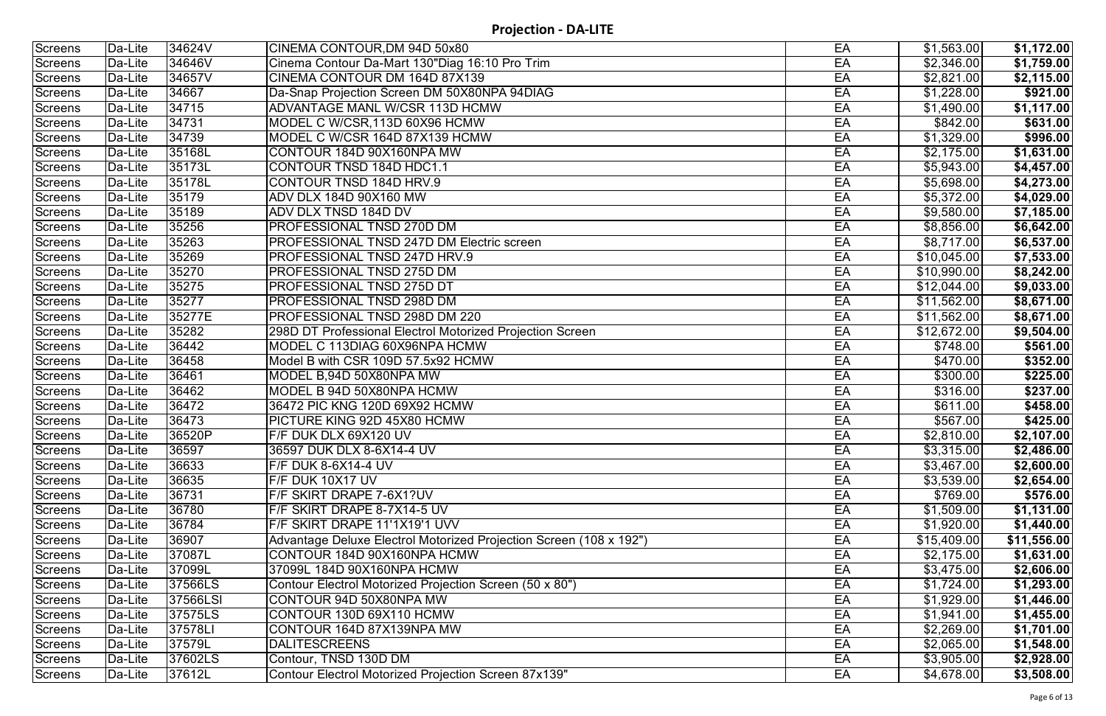| <b>Screens</b> | Da-Lite | 34624V   | CINEMA CONTOUR, DM 94D 50x80                                       | EA | \$1,563.00  | \$1,172.00            |
|----------------|---------|----------|--------------------------------------------------------------------|----|-------------|-----------------------|
| <b>Screens</b> | Da-Lite | 34646V   | Cinema Contour Da-Mart 130"Diag 16:10 Pro Trim                     | EA | \$2,346.00  | \$1,759.00            |
| <b>Screens</b> | Da-Lite | 34657V   | CINEMA CONTOUR DM 164D 87X139                                      | EA | \$2,821.00  | \$2,115.00            |
| Screens        | Da-Lite | 34667    | Da-Snap Projection Screen DM 50X80NPA 94DIAG                       | EA | \$1,228.00  | \$921.00              |
| <b>Screens</b> | Da-Lite | 34715    | ADVANTAGE MANL W/CSR 113D HCMW                                     | EA | \$1,490.00  | \$1,117.00            |
| <b>Screens</b> | Da-Lite | 34731    | MODEL C W/CSR, 113D 60X96 HCMW                                     | EA | \$842.00    | \$631.00              |
| <b>Screens</b> | Da-Lite | 34739    | MODEL C W/CSR 164D 87X139 HCMW                                     | EA | \$1,329.00  | \$996.00              |
| Screens        | Da-Lite | 35168L   | CONTOUR 184D 90X160NPA MW                                          | EA | \$2,175.00  | \$1,631.00            |
| <b>Screens</b> | Da-Lite | 35173L   | CONTOUR TNSD 184D HDC1.1                                           | EA | \$5,943.00  | \$4,457.00            |
| <b>Screens</b> | Da-Lite | 35178L   | CONTOUR TNSD 184D HRV.9                                            | EA | \$5,698.00  | \$4,273.00            |
| <b>Screens</b> | Da-Lite | 35179    | ADV DLX 184D 90X160 MW                                             | EA | \$5,372.00  | \$4,029.00            |
| Screens        | Da-Lite | 35189    | <b>ADV DLX TNSD 184D DV</b>                                        | EA | \$9,580.00  | \$7,185.00            |
| <b>Screens</b> | Da-Lite | 35256    | PROFESSIONAL TNSD 270D DM                                          | EA | \$8,856.00  | \$6,642.00            |
| <b>Screens</b> | Da-Lite | 35263    | <b>PROFESSIONAL TNSD 247D DM Electric screen</b>                   | EA | \$8,717.00  | $\sqrt{6,537.00}$     |
| <b>Screens</b> | Da-Lite | 35269    | PROFESSIONAL TNSD 247D HRV.9                                       | EA | \$10,045.00 | \$7,533.00            |
| Screens        | Da-Lite | 35270    | <b>PROFESSIONAL TNSD 275D DM</b>                                   | EA | \$10,990.00 | \$8,242.00            |
| <b>Screens</b> | Da-Lite | 35275    | PROFESSIONAL TNSD 275D DT                                          | EA | \$12,044.00 | \$9,033.00            |
| <b>Screens</b> | Da-Lite | 35277    | PROFESSIONAL TNSD 298D DM                                          | EA | \$11,562.00 | \$8,671.00            |
| <b>Screens</b> | Da-Lite | 35277E   | PROFESSIONAL TNSD 298D DM 220                                      | EA | \$11,562.00 | \$8,671.00            |
| Screens        | Da-Lite | 35282    | 298D DT Professional Electrol Motorized Projection Screen          | EA | \$12,672.00 | \$9,504.00            |
| <b>Screens</b> | Da-Lite | 36442    | MODEL C 113DIAG 60X96NPA HCMW                                      | EA | \$748.00    | \$561.00              |
| <b>Screens</b> | Da-Lite | 36458    | Model B with CSR 109D 57.5x92 HCMW                                 | EA | \$470.00    | \$352.00              |
| <b>Screens</b> | Da-Lite | 36461    | MODEL B,94D 50X80NPA MW                                            | EA | \$300.00    | \$225.00              |
| Screens        | Da-Lite | 36462    | MODEL B 94D 50X80NPA HCMW                                          | EA | \$316.00    | \$237.00              |
| <b>Screens</b> | Da-Lite | 36472    | 36472 PIC KNG 120D 69X92 HCMW                                      | EA | \$611.00    | \$458.00              |
| <b>Screens</b> | Da-Lite | 36473    | PICTURE KING 92D 45X80 HCMW                                        | EA | \$567.00    | \$425.00              |
| Screens        | Da-Lite | 36520P   | F/F DUK DLX 69X120 UV                                              | EA | \$2,810.00  | \$2,107.00            |
| Screens        | Da-Lite | 36597    | 36597 DUK DLX 8-6X14-4 UV                                          | EA | \$3,315.00  | \$2,486.00            |
| Screens        | Da-Lite | 36633    | F/F DUK 8-6X14-4 UV                                                | EA | \$3,467.00  | \$2,600.00            |
| Screens        | Da-Lite | 36635    | F/F DUK 10X17 UV                                                   | EA | \$3,539.00  | \$2,654.00            |
| Screens        | Da-Lite | 36731    | F/F SKIRT DRAPE 7-6X1?UV                                           | EA | \$769.00    | \$576.00              |
| Screens        | Da-Lite | 36780    | F/F SKIRT DRAPE 8-7X14-5 UV                                        | EA | \$1,509.00  | $\overline{1,131.00}$ |
| Screens        | Da-Lite | 36784    | F/F SKIRT DRAPE 11'1X19'1 UVV                                      | EA | \$1,920.00  | \$1,440.00            |
| Screens        | Da-Lite | 36907    | Advantage Deluxe Electrol Motorized Projection Screen (108 x 192") | EA | \$15,409.00 | \$11,556.00           |
| Screens        | Da-Lite | 37087L   | CONTOUR 184D 90X160NPA HCMW                                        | EA | \$2,175.00  | \$1,631.00            |
| Screens        | Da-Lite | 37099L   | 37099L 184D 90X160NPA HCMW                                         | EA | \$3,475.00  | \$2,606.00            |
| Screens        | Da-Lite | 37566LS  | Contour Electrol Motorized Projection Screen (50 x 80")            | EA | \$1,724.00  | \$1,293.00            |
| <b>Screens</b> | Da-Lite | 37566LSI | CONTOUR 94D 50X80NPA MW                                            | EA | \$1,929.00  | \$1,446.00            |
| Screens        | Da-Lite | 37575LS  | CONTOUR 130D 69X110 HCMW                                           | EA | \$1,941.00  | \$1,455.00            |
| Screens        | Da-Lite | 37578LI  | CONTOUR 164D 87X139NPA MW                                          | EA | \$2,269.00  | \$1,701.00            |
| Screens        | Da-Lite | 37579L   | <b>DALITESCREENS</b>                                               | EA | \$2,065.00  | \$1,548.00            |
| Screens        | Da-Lite | 37602LS  | Contour, TNSD 130D DM                                              | EA | \$3,905.00  | \$2,928.00            |
| Screens        | Da-Lite | 37612L   | Contour Electrol Motorized Projection Screen 87x139"               | EA | \$4,678.00  | \$3,508.00            |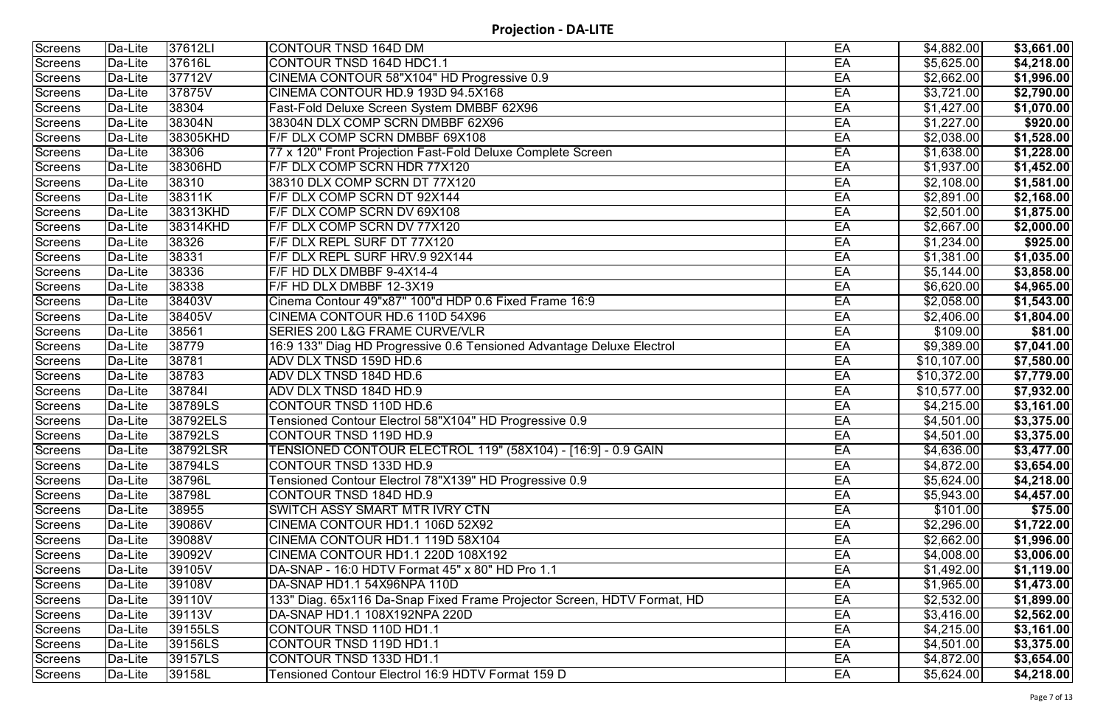| Screens        | Da-Lite               | 37612LI  | CONTOUR TNSD 164D DM                                                    | EA | \$4,882.00  | \$3,661.00             |
|----------------|-----------------------|----------|-------------------------------------------------------------------------|----|-------------|------------------------|
| <b>Screens</b> | Da-Lite               | 37616L   | CONTOUR TNSD 164D HDC1.1                                                | EA | \$5,625.00  | \$4,218.00             |
| <b>Screens</b> | Da-Lite               | 37712V   | CINEMA CONTOUR 58"X104" HD Progressive 0.9                              | EA | \$2,662.00  | \$1,996.00             |
| Screens        | Da-Lite               | 37875V   | CINEMA CONTOUR HD.9 193D 94.5X168                                       | EA | \$3,721.00  | \$2,790.00             |
| <b>Screens</b> | Da-Lite               | 38304    | <b>Fast-Fold Deluxe Screen System DMBBF 62X96</b>                       | EA | \$1,427.00  | \$1,070.00             |
| Screens        | Da-Lite               | 38304N   | 38304N DLX COMP SCRN DMBBF 62X96                                        | EA | \$1,227.00  | \$920.00               |
| <b>Screens</b> | Da-Lite               | 38305KHD | F/F DLX COMP SCRN DMBBF 69X108                                          | EA | \$2,038.00  | \$1,528.00             |
| <b>Screens</b> | Da-Lite               | 38306    | 77 x 120" Front Projection Fast-Fold Deluxe Complete Screen             | EA | \$1,638.00  | \$1,228.00             |
| <b>Screens</b> | Da-Lite               | 38306HD  | F/F DLX COMP SCRN HDR 77X120                                            | EA | \$1,937.00  | $\overline{$1,452.00}$ |
| <b>Screens</b> | Da-Lite               | 38310    | 38310 DLX COMP SCRN DT 77X120                                           | EA | \$2,108.00  | \$1,581.00             |
| <b>Screens</b> | Da-Lite               | 38311K   | F/F DLX COMP SCRN DT 92X144                                             | EA | \$2,891.00  | \$2,168.00             |
| Screens        | Da-Lite               | 38313KHD | F/F DLX COMP SCRN DV 69X108                                             | EA | \$2,501.00  | \$1,875.00             |
| <b>Screens</b> | $\overline{D}$ a-Lite | 38314KHD | F/F DLX COMP SCRN DV 77X120                                             | EA | \$2,667.00  | \$2,000.00             |
| <b>Screens</b> | Da-Lite               | 38326    | F/F DLX REPL SURF DT 77X120                                             | EA | \$1,234.00  | \$925.00               |
| <b>Screens</b> | Da-Lite               | 38331    | F/F DLX REPL SURF HRV.9 92X144                                          | EA | \$1,381.00  | \$1,035.00             |
| <b>Screens</b> | Da-Lite               | 38336    | F/F HD DLX DMBBF 9-4X14-4                                               | EA | \$5,144.00  | \$3,858.00             |
| <b>Screens</b> | Da-Lite               | 38338    | F/F HD DLX DMBBF 12-3X19                                                | EA | \$6,620.00  | \$4,965.00             |
| <b>Screens</b> | Da-Lite               | 38403V   | Cinema Contour 49"x87" 100"d HDP 0.6 Fixed Frame 16:9                   | EA | \$2,058.00  | \$1,543.00             |
| <b>Screens</b> | Da-Lite               | 38405V   | CINEMA CONTOUR HD.6 110D 54X96                                          | EA | \$2,406.00  | \$1,804.00             |
| <b>Screens</b> | Da-Lite               | 38561    | <b>SERIES 200 L&amp;G FRAME CURVE/VLR</b>                               | EA | \$109.00    | \$81.00                |
| <b>Screens</b> | Da-Lite               | 38779    | 16:9 133" Diag HD Progressive 0.6 Tensioned Advantage Deluxe Electrol   | EA | \$9,389.00  | $\overline{57,041.00}$ |
| <b>Screens</b> | Da-Lite               | 38781    | ADV DLX TNSD 159D HD.6                                                  | EA | \$10,107.00 | \$7,580.00             |
| <b>Screens</b> | Da-Lite               | 38783    | ADV DLX TNSD 184D HD.6                                                  | EA | \$10,372.00 | \$7,779.00             |
| <b>Screens</b> | Da-Lite               | 387841   | ADV DLX TNSD 184D HD.9                                                  | EA | \$10,577.00 | \$7,932.00             |
| <b>Screens</b> | Da-Lite               | 38789LS  | CONTOUR TNSD 110D HD.6                                                  | EA | \$4,215.00  | \$3,161.00             |
| <b>Screens</b> | Da-Lite               | 38792ELS | Tensioned Contour Electrol 58"X104" HD Progressive 0.9                  | EA | \$4,501.00  | \$3,375.00             |
| Screens        | Da-Lite               | 38792LS  | CONTOUR TNSD 119D HD.9                                                  | EA | \$4,501.00  | \$3,375.00             |
| Screens        | Da-Lite               | 38792LSR | TENSIONED CONTOUR ELECTROL 119" (58X104) - [16:9] - 0.9 GAIN            | EA | \$4,636.00  | \$3,477.00             |
| Screens        | Da-Lite               | 38794LS  | CONTOUR TNSD 133D HD.9                                                  | EA | \$4,872.00  | \$3,654.00             |
| <b>Screens</b> | Da-Lite               | 38796L   | Tensioned Contour Electrol 78"X139" HD Progressive 0.9                  | EA | \$5,624.00  | \$4,218.00             |
| Screens        | Da-Lite               | 38798L   | CONTOUR TNSD 184D HD.9                                                  | EA | \$5,943.00  | \$4,457.00             |
| Screens        | Da-Lite               | 38955    | SWITCH ASSY SMART MTR IVRY CTN                                          | EA | \$101.00    | \$75.00                |
| Screens        | Da-Lite               | 39086V   | CINEMA CONTOUR HD1.1 106D 52X92                                         | EA | \$2,296.00  | \$1,722.00             |
| Screens        | Da-Lite               | 39088V   | CINEMA CONTOUR HD1.1 119D 58X104                                        | EA | \$2,662.00  | \$1,996.00             |
| Screens        | Da-Lite               | 39092V   | CINEMA CONTOUR HD1.1 220D 108X192                                       | EA | \$4,008.00  | \$3,006.00             |
| Screens        | Da-Lite               | 39105V   | DA-SNAP - 16:0 HDTV Format 45" x 80" HD Pro 1.1                         | EA | \$1,492.00  | \$1,119.00             |
| Screens        | Da-Lite               | 39108V   | DA-SNAP HD1.1 54X96NPA 110D                                             | EA | \$1,965.00  | \$1,473.00             |
| <b>Screens</b> | Da-Lite               | 39110V   | 133" Diag. 65x116 Da-Snap Fixed Frame Projector Screen, HDTV Format, HD | EA | \$2,532.00  | \$1,899.00             |
| Screens        | Da-Lite               | 39113V   | DA-SNAP HD1.1 108X192NPA 220D                                           | EA | \$3,416.00  | \$2,562.00             |
| Screens        | Da-Lite               | 39155LS  | CONTOUR TNSD 110D HD1.1                                                 | EA | \$4,215.00  | \$3,161.00             |
| <b>Screens</b> | Da-Lite               | 39156LS  | CONTOUR TNSD 119D HD1.1                                                 | EA | \$4,501.00  | \$3,375.00             |
| Screens        | Da-Lite               | 39157LS  | CONTOUR TNSD 133D HD1.1                                                 | EA | \$4,872.00  | \$3,654.00             |
| Screens        | Da-Lite               | 39158L   | Tensioned Contour Electrol 16:9 HDTV Format 159 D                       | EA | \$5,624.00  | \$4,218.00             |
|                |                       |          |                                                                         |    |             |                        |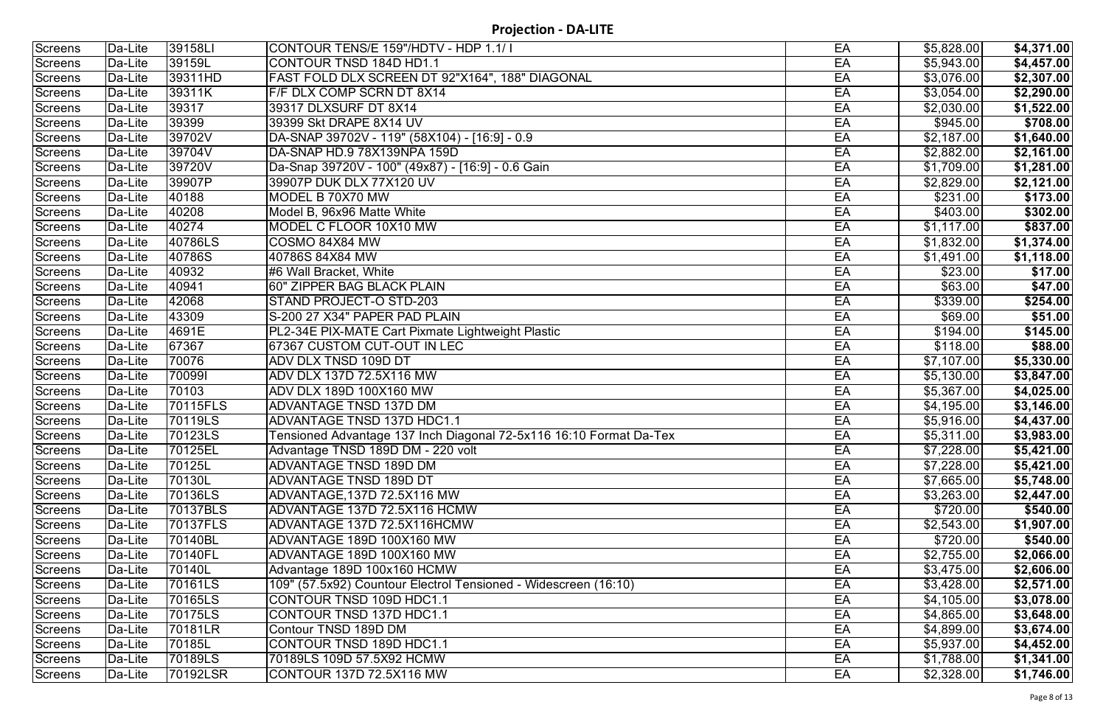| Screens        | Da-Lite | 39158LI  | CONTOUR TENS/E 159"/HDTV - HDP 1.1/ I                              | EA | \$5,828.00 | \$4,371.00 |
|----------------|---------|----------|--------------------------------------------------------------------|----|------------|------------|
| <b>Screens</b> | Da-Lite | 39159L   | CONTOUR TNSD 184D HD1.1                                            | EA | \$5,943.00 | \$4,457.00 |
| <b>Screens</b> | Da-Lite | 39311HD  | FAST FOLD DLX SCREEN DT 92"X164", 188" DIAGONAL                    | EA | \$3,076.00 | \$2,307.00 |
| <b>Screens</b> | Da-Lite | 39311K   | F/F DLX COMP SCRN DT 8X14                                          | EA | \$3,054.00 | \$2,290.00 |
| <b>Screens</b> | Da-Lite | 39317    | 39317 DLXSURF DT 8X14                                              | EA | \$2,030.00 | \$1,522.00 |
| Screens        | Da-Lite | 39399    | 39399 Skt DRAPE 8X14 UV                                            | EA | \$945.00   | \$708.00   |
| <b>Screens</b> | Da-Lite | 39702V   | DA-SNAP 39702V - 119" (58X104) - [16:9] - 0.9                      | EA | \$2,187.00 | \$1,640.00 |
| <b>Screens</b> | Da-Lite | 39704V   | DA-SNAP HD.9 78X139NPA 159D                                        | EA | \$2,882.00 | \$2,161.00 |
| <b>Screens</b> | Da-Lite | 39720V   | Da-Snap 39720V - 100" (49x87) - [16:9] - 0.6 Gain                  | EA | \$1,709.00 | \$1,281.00 |
| <b>Screens</b> | Da-Lite | 39907P   | 39907P DUK DLX 77X120 UV                                           | EA | \$2,829.00 | \$2,121.00 |
| Screens        | Da-Lite | 40188    | MODEL B 70X70 MW                                                   | EA | \$231.00   | \$173.00   |
| Screens        | Da-Lite | 40208    | Model B, 96x96 Matte White                                         | EA | \$403.00   | \$302.00   |
| <b>Screens</b> | Da-Lite | 40274    | MODEL C FLOOR 10X10 MW                                             | EA | \$1,117.00 | \$837.00   |
| <b>Screens</b> | Da-Lite | 40786LS  | COSMO 84X84 MW                                                     | EA | \$1,832.00 | \$1,374.00 |
| <b>Screens</b> | Da-Lite | 40786S   | 40786S 84X84 MW                                                    | EA | \$1,491.00 | \$1,118.00 |
| <b>Screens</b> | Da-Lite | 40932    | #6 Wall Bracket, White                                             | EA | \$23.00    | \$17.00    |
| <b>Screens</b> | Da-Lite | 40941    | <b>60" ZIPPER BAG BLACK PLAIN</b>                                  | EA | \$63.00    | \$47.00    |
| Screens        | Da-Lite | 42068    | <b>STAND PROJECT-O STD-203</b>                                     | EA | \$339.00   | \$254.00   |
| Screens        | Da-Lite | 43309    | S-200 27 X34" PAPER PAD PLAIN                                      | EA | \$69.00    | \$51.00    |
| <b>Screens</b> | Da-Lite | 4691E    | PL2-34E PIX-MATE Cart Pixmate Lightweight Plastic                  | EA | \$194.00   | \$145.00   |
| <b>Screens</b> | Da-Lite | 67367    | 67367 CUSTOM CUT-OUT IN LEC                                        | EA | \$118.00   | \$88.00    |
| <b>Screens</b> | Da-Lite | 70076    | ADV DLX TNSD 109D DT                                               | EA | \$7,107.00 | \$5,330.00 |
| <b>Screens</b> | Da-Lite | 700991   | ADV DLX 137D 72.5X116 MW                                           | EA | \$5,130.00 | \$3,847.00 |
| <b>Screens</b> | Da-Lite | 70103    | ADV DLX 189D 100X160 MW                                            | EA | \$5,367.00 | \$4,025.00 |
| <b>Screens</b> | Da-Lite | 70115FLS | <b>ADVANTAGE TNSD 137D DM</b>                                      | EA | \$4,195.00 | \$3,146.00 |
| <b>Screens</b> | Da-Lite | 70119LS  | ADVANTAGE TNSD 137D HDC1.1                                         | EA | \$5,916.00 | \$4,437.00 |
| Screens        | Da-Lite | 70123LS  | Tensioned Advantage 137 Inch Diagonal 72-5x116 16:10 Format Da-Tex | EA | \$5,311.00 | \$3,983.00 |
| Screens        | Da-Lite | 70125EL  | Advantage TNSD 189D DM - 220 volt                                  | EA | \$7,228.00 | \$5,421.00 |
| Screens        | Da-Lite | 70125L   | ADVANTAGE TNSD 189D DM                                             | EA | \$7,228.00 | \$5,421.00 |
| Screens        | Da-Lite | 70130L   | ADVANTAGE TNSD 189D DT                                             | EA | \$7,665.00 | \$5,748.00 |
| Screens        | Da-Lite | 70136LS  | ADVANTAGE,137D 72.5X116 MW                                         | EA | \$3,263.00 | \$2,447.00 |
| Screens        | Da-Lite | 70137BLS | ADVANTAGE 137D 72.5X116 HCMW                                       | EA | \$720.00   | \$540.00   |
| Screens        | Da-Lite | 70137FLS | ADVANTAGE 137D 72.5X116HCMW                                        | EA | \$2,543.00 | \$1,907.00 |
| Screens        | Da-Lite | 70140BL  | ADVANTAGE 189D 100X160 MW                                          | EA | \$720.00   | \$540.00   |
| Screens        | Da-Lite | 70140FL  | ADVANTAGE 189D 100X160 MW                                          | EA | \$2,755.00 | \$2,066.00 |
| Screens        | Da-Lite | 70140L   | Advantage 189D 100x160 HCMW                                        | EA | \$3,475.00 | \$2,606.00 |
| Screens        | Da-Lite | 70161LS  | 109" (57.5x92) Countour Electrol Tensioned - Widescreen (16:10)    | EA | \$3,428.00 | \$2,571.00 |
| Screens        | Da-Lite | 70165LS  | CONTOUR TNSD 109D HDC1.1                                           | EA | \$4,105.00 | \$3,078.00 |
| Screens        | Da-Lite | 70175LS  | CONTOUR TNSD 137D HDC1.1                                           | EA | \$4,865.00 | \$3,648.00 |
| Screens        | Da-Lite | 70181LR  | Contour TNSD 189D DM                                               | EA | \$4,899.00 | \$3,674.00 |
| Screens        | Da-Lite | 70185L   | CONTOUR TNSD 189D HDC1.1                                           | EA | \$5,937.00 | \$4,452.00 |
| Screens        | Da-Lite | 70189LS  | 70189LS 109D 57.5X92 HCMW                                          | EA | \$1,788.00 | \$1,341.00 |
| Screens        | Da-Lite | 70192LSR | CONTOUR 137D 72.5X116 MW                                           | EA | \$2,328.00 | \$1,746.00 |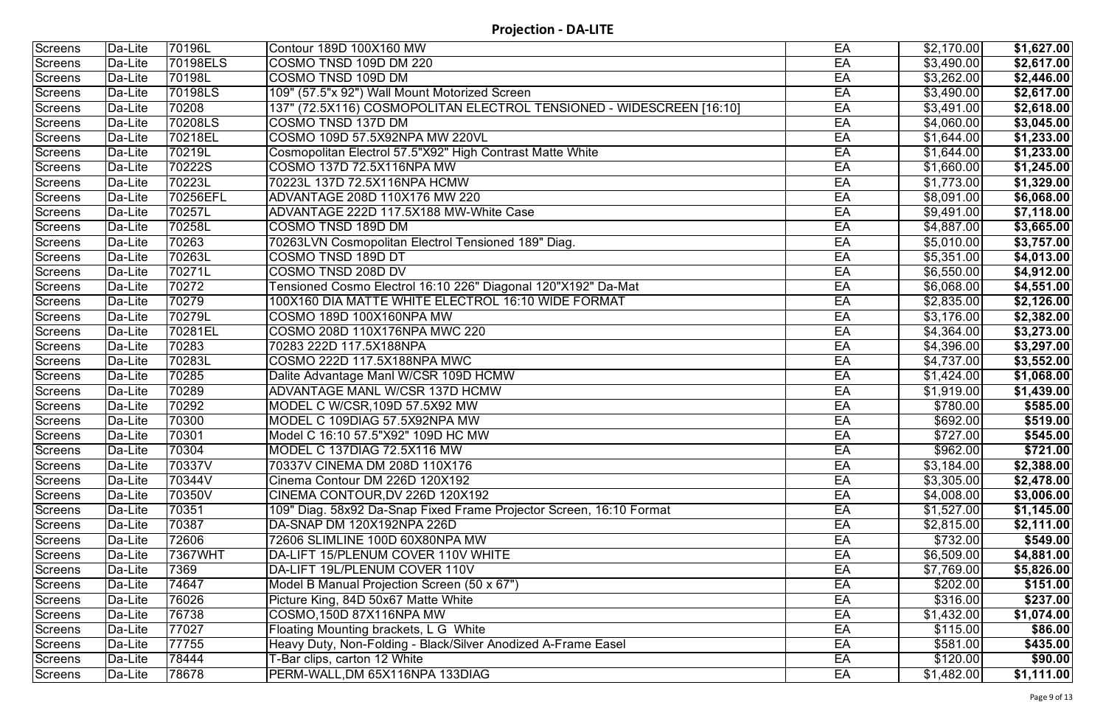| Screens        | Da-Lite | 70196L   | Contour 189D 100X160 MW                                              | EA | \$2,170.00 | \$1,627.00 |
|----------------|---------|----------|----------------------------------------------------------------------|----|------------|------------|
| <b>Screens</b> | Da-Lite | 70198ELS | COSMO TNSD 109D DM 220                                               | EA | \$3,490.00 | \$2,617.00 |
| <b>Screens</b> | Da-Lite | 70198L   | COSMO TNSD 109D DM                                                   | EA | \$3,262.00 | \$2,446.00 |
| Screens        | Da-Lite | 70198LS  | 109" (57.5"x 92") Wall Mount Motorized Screen                        | EA | \$3,490.00 | \$2,617.00 |
| Screens        | Da-Lite | 70208    | 137" (72.5X116) COSMOPOLITAN ELECTROL TENSIONED - WIDESCREEN [16:10] | EA | \$3,491.00 | \$2,618.00 |
| <b>Screens</b> | Da-Lite | 70208LS  | COSMO TNSD 137D DM                                                   | EA | \$4,060.00 | \$3,045.00 |
| <b>Screens</b> | Da-Lite | 70218EL  | COSMO 109D 57.5X92NPA MW 220VL                                       | EA | \$1,644.00 | \$1,233.00 |
| <b>Screens</b> | Da-Lite | 70219L   | Cosmopolitan Electrol 57.5"X92" High Contrast Matte White            | EA | \$1,644.00 | \$1,233.00 |
| <b>Screens</b> | Da-Lite | 70222S   | COSMO 137D 72.5X116NPA MW                                            | EA | \$1,660.00 | \$1,245.00 |
| <b>Screens</b> | Da-Lite | 70223L   | 70223L 137D 72.5X116NPA HCMW                                         | EA | \$1,773.00 | \$1,329.00 |
| <b>Screens</b> | Da-Lite | 70256EFL | ADVANTAGE 208D 110X176 MW 220                                        | EA | \$8,091.00 | \$6,068.00 |
| Screens        | Da-Lite | 70257L   | ADVANTAGE 222D 117.5X188 MW-White Case                               | EA | \$9,491.00 | \$7,118.00 |
| <b>Screens</b> | Da-Lite | 70258L   | COSMO TNSD 189D DM                                                   | EA | \$4,887.00 | \$3,665.00 |
| <b>Screens</b> | Da-Lite | 70263    | 70263LVN Cosmopolitan Electrol Tensioned 189" Diag.                  | EA | \$5,010.00 | \$3,757.00 |
| <b>Screens</b> | Da-Lite | 70263L   | COSMO TNSD 189D DT                                                   | EA | \$5,351.00 | \$4,013.00 |
| <b>Screens</b> | Da-Lite | 70271L   | <b>COSMO TNSD 208D DV</b>                                            | EA | \$6,550.00 | \$4,912.00 |
| <b>Screens</b> | Da-Lite | 70272    | Tensioned Cosmo Electrol 16:10 226" Diagonal 120"X192" Da-Mat        | EA | \$6,068.00 | \$4,551.00 |
| <b>Screens</b> | Da-Lite | 70279    | 100X160 DIA MATTE WHITE ELECTROL 16:10 WIDE FORMAT                   | EA | \$2,835.00 | \$2,126.00 |
| <b>Screens</b> | Da-Lite | 70279L   | COSMO 189D 100X160NPA MW                                             | EA | \$3,176.00 | \$2,382.00 |
| <b>Screens</b> | Da-Lite | 70281EL  | COSMO 208D 110X176NPA MWC 220                                        | EA | \$4,364.00 | \$3,273.00 |
| Screens        | Da-Lite | 70283    | 70283 222D 117.5X188NPA                                              | EA | \$4,396.00 | \$3,297.00 |
| <b>Screens</b> | Da-Lite | 70283L   | COSMO 222D 117.5X188NPA MWC                                          | EA | \$4,737.00 | \$3,552.00 |
| <b>Screens</b> | Da-Lite | 70285    | Dalite Advantage Manl W/CSR 109D HCMW                                | EA | \$1,424.00 | \$1,068.00 |
| <b>Screens</b> | Da-Lite | 70289    | <b>ADVANTAGE MANL W/CSR 137D HCMW</b>                                | EA | \$1,919.00 | \$1,439.00 |
| <b>Screens</b> | Da-Lite | 70292    | MODEL C W/CSR, 109D 57.5X92 MW                                       | EA | \$780.00   | \$585.00   |
| <b>Screens</b> | Da-Lite | 70300    | MODEL C 109DIAG 57.5X92NPA MW                                        | EA | \$692.00   | \$519.00   |
| Screens        | Da-Lite | 70301    | Model C 16:10 57.5"X92" 109D HC MW                                   | EA | \$727.00   | \$545.00   |
| Screens        | Da-Lite | 70304    | MODEL C 137DIAG 72.5X116 MW                                          | EA | \$962.00   | \$721.00   |
| Screens        | Da-Lite | 70337V   | 70337V CINEMA DM 208D 110X176                                        | EA | \$3,184.00 | \$2,388.00 |
| <b>Screens</b> | Da-Lite | 70344V   | Cinema Contour DM 226D 120X192                                       | EA | \$3,305.00 | \$2,478.00 |
| Screens        | Da-Lite | 70350V   | CINEMA CONTOUR, DV 226D 120X192                                      | EA | \$4,008.00 | \$3,006.00 |
| Screens        | Da-Lite | 70351    | 109" Diag. 58x92 Da-Snap Fixed Frame Projector Screen, 16:10 Format  | EA | \$1,527.00 | \$1,145.00 |
| <b>Screens</b> | Da-Lite | 70387    | IDA-SNAP DM 120X192NPA 226D                                          | EA | \$2,815.00 | \$2,111.00 |
| Screens        | Da-Lite | 72606    | 72606 SLIMLINE 100D 60X80NPA MW                                      | EA | \$732.00   | \$549.00   |
| Screens        | Da-Lite | 7367WHT  | DA-LIFT 15/PLENUM COVER 110V WHITE                                   | EA | \$6,509.00 | \$4,881.00 |
| Screens        | Da-Lite | 7369     | DA-LIFT 19L/PLENUM COVER 110V                                        | EA | \$7,769.00 | \$5,826.00 |
| <b>Screens</b> | Da-Lite | 74647    | Model B Manual Projection Screen (50 x 67")                          | EA | \$202.00   | \$151.00   |
| <b>Screens</b> | Da-Lite | 76026    | Picture King, 84D 50x67 Matte White                                  | EA | \$316.00   | \$237.00   |
| Screens        | Da-Lite | 76738    | COSMO,150D 87X116NPA MW                                              | EA | \$1,432.00 | \$1,074.00 |
| Screens        | Da-Lite | 77027    | <b>Floating Mounting brackets, L G White</b>                         | EA | \$115.00   | \$86.00    |
| Screens        | Da-Lite | 77755    | Heavy Duty, Non-Folding - Black/Silver Anodized A-Frame Easel        | EA | \$581.00   | \$435.00   |
| <b>Screens</b> | Da-Lite | 78444    | T-Bar clips, carton 12 White                                         | EA | \$120.00   | \$90.00    |
| Screens        | Da-Lite | 78678    | PERM-WALL, DM 65X116NPA 133DIAG                                      | EA | \$1,482.00 | \$1,111.00 |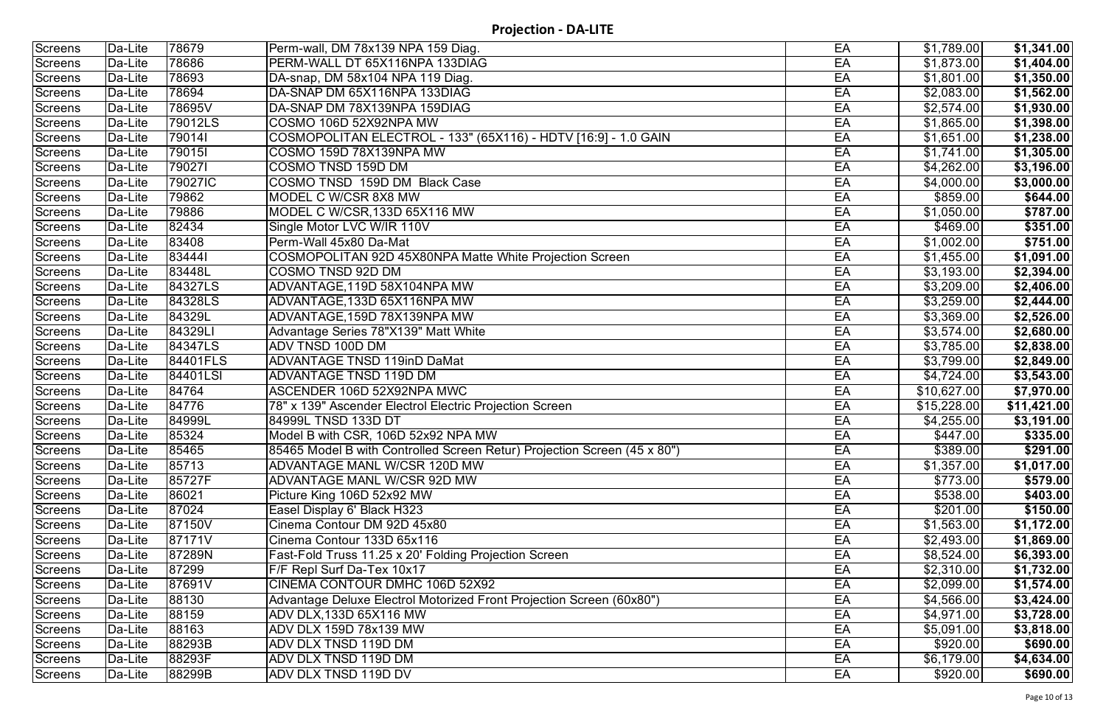| Screens        | Da-Lite | 78679    | Perm-wall, DM 78x139 NPA 159 Diag.                                       | EA | \$1,789.00             | \$1,341.00  |
|----------------|---------|----------|--------------------------------------------------------------------------|----|------------------------|-------------|
| <b>Screens</b> | Da-Lite | 78686    | PERM-WALL DT 65X116NPA 133DIAG                                           | EA | \$1,873.00             | \$1,404.00  |
| <b>Screens</b> | Da-Lite | 78693    | DA-snap, DM 58x104 NPA 119 Diag.                                         | EA | \$1,801.00             | \$1,350.00  |
| Screens        | Da-Lite | 78694    | DA-SNAP DM 65X116NPA 133DIAG                                             | EA | \$2,083.00             | \$1,562.00  |
| <b>Screens</b> | Da-Lite | 78695V   | DA-SNAP DM 78X139NPA 159DIAG                                             | EA | \$2,574.00             | \$1,930.00  |
| <b>Screens</b> | Da-Lite | 79012LS  | COSMO 106D 52X92NPA MW                                                   | EA | \$1,865.00             | \$1,398.00  |
| <b>Screens</b> | Da-Lite | 790141   | COSMOPOLITAN ELECTROL - 133" (65X116) - HDTV [16:9] - 1.0 GAIN           | EA | \$1,651.00             | \$1,238.00  |
| Screens        | Da-Lite | 790151   | COSMO 159D 78X139NPA MW                                                  | EA | \$1,741.00             | \$1,305.00  |
| <b>Screens</b> | Da-Lite | 790271   | COSMO TNSD 159D DM                                                       | EA | \$4,262.00             | \$3,196.00  |
| <b>Screens</b> | Da-Lite | 79027IC  | COSMO TNSD 159D DM Black Case                                            | EA | \$4,000.00             | \$3,000.00  |
| <b>Screens</b> | Da-Lite | 79862    | MODEL C W/CSR 8X8 MW                                                     | EA | \$859.00               | \$644.00    |
| Screens        | Da-Lite | 79886    | MODEL C W/CSR, 133D 65X116 MW                                            | EA | \$1,050.00             | \$787.00    |
| <b>Screens</b> | Da-Lite | 82434    | Single Motor LVC W/IR 110V                                               | EA | \$469.00               | \$351.00    |
| <b>Screens</b> | Da-Lite | 83408    | Perm-Wall 45x80 Da-Mat                                                   | EA | $\overline{$1,002.00}$ | \$751.00    |
| <b>Screens</b> | Da-Lite | 834441   | COSMOPOLITAN 92D 45X80NPA Matte White Projection Screen                  | EA | \$1,455.00             | \$1,091.00  |
| Screens        | Da-Lite | 83448L   | COSMO TNSD 92D DM                                                        | EA | \$3,193.00             | \$2,394.00  |
| Screens        | Da-Lite | 84327LS  | ADVANTAGE, 119D 58X104NPA MW                                             | EA | \$3,209.00             | \$2,406.00  |
| <b>Screens</b> | Da-Lite | 84328LS  | ADVANTAGE,133D 65X116NPA MW                                              | EA | \$3,259.00             | \$2,444.00  |
| Screens        | Da-Lite | 84329L   | ADVANTAGE,159D 78X139NPA MW                                              | EA | \$3,369.00             | \$2,526.00  |
| Screens        | Da-Lite | 84329LI  | Advantage Series 78"X139" Matt White                                     | EA | \$3,574.00             | \$2,680.00  |
| <b>Screens</b> | Da-Lite | 84347LS  | ADV TNSD 100D DM                                                         | EA | \$3,785.00             | \$2,838.00  |
| <b>Screens</b> | Da-Lite | 84401FLS | <b>ADVANTAGE TNSD 119inD DaMat</b>                                       | EA | \$3,799.00             | \$2,849.00  |
| <b>Screens</b> | Da-Lite | 84401LSI | <b>ADVANTAGE TNSD 119D DM</b>                                            | EA | \$4,724.00             | \$3,543.00  |
| Screens        | Da-Lite | 84764    | ASCENDER 106D 52X92NPA MWC                                               | EA | \$10,627.00            | \$7,970.00  |
| Screens        | Da-Lite | 84776    | 78" x 139" Ascender Electrol Electric Projection Screen                  | EA | \$15,228.00            | \$11,421.00 |
| <b>Screens</b> | Da-Lite | 84999L   | 84999L TNSD 133D DT                                                      | EA | \$4,255.00             | \$3,191.00  |
| Screens        | Da-Lite | 85324    | Model B with CSR, 106D 52x92 NPA MW                                      | EA | \$447.00               | \$335.00    |
| Screens        | Da-Lite | 85465    | 85465 Model B with Controlled Screen Retur) Projection Screen (45 x 80") | EA | \$389.00               | \$291.00    |
| Screens        | Da-Lite | 85713    | ADVANTAGE MANL W/CSR 120D MW                                             | EA | \$1,357.00             | \$1,017.00  |
| Screens        | Da-Lite | 85727F   | <b>ADVANTAGE MANL W/CSR 92D MW</b>                                       | EA | \$773.00               | \$579.00    |
| Screens        | Da-Lite | 86021    | Picture King 106D 52x92 MW                                               | EA | \$538.00               | \$403.00    |
| Screens        | Da-Lite | 87024    | Easel Display 6' Black H323                                              | EA | \$201.00               | \$150.00    |
| Screens        | Da-Lite | 87150V   | Cinema Contour DM 92D 45x80                                              | EA | \$1,563.00             | \$1,172.00  |
| Screens        | Da-Lite | 87171V   | Cinema Contour 133D 65x116                                               | EA | \$2,493.00             | \$1,869.00  |
| Screens        | Da-Lite | 87289N   | Fast-Fold Truss 11.25 x 20' Folding Projection Screen                    | EA | \$8,524.00             | \$6,393.00  |
| Screens        | Da-Lite | 87299    | F/F Repl Surf Da-Tex 10x17                                               | EA | \$2,310.00             | \$1,732.00  |
| Screens        | Da-Lite | 87691V   | CINEMA CONTOUR DMHC 106D 52X92                                           | EA | \$2,099.00             | \$1,574.00  |
| Screens        | Da-Lite | 88130    | Advantage Deluxe Electrol Motorized Front Projection Screen (60x80")     | EA | \$4,566.00             | \$3,424.00  |
| Screens        | Da-Lite | 88159    | ADV DLX,133D 65X116 MW                                                   | EA | \$4,971.00             | \$3,728.00  |
| Screens        | Da-Lite | 88163    | ADV DLX 159D 78x139 MW                                                   | EA | \$5,091.00             | \$3,818.00  |
| Screens        | Da-Lite | 88293B   | ADV DLX TNSD 119D DM                                                     | EA | \$920.00               | \$690.00    |
| Screens        | Da-Lite | 88293F   | ADV DLX TNSD 119D DM                                                     | EA | \$6,179.00             | \$4,634.00  |
| Screens        | Da-Lite | 88299B   | ADV DLX TNSD 119D DV                                                     | EA | \$920.00               | \$690.00    |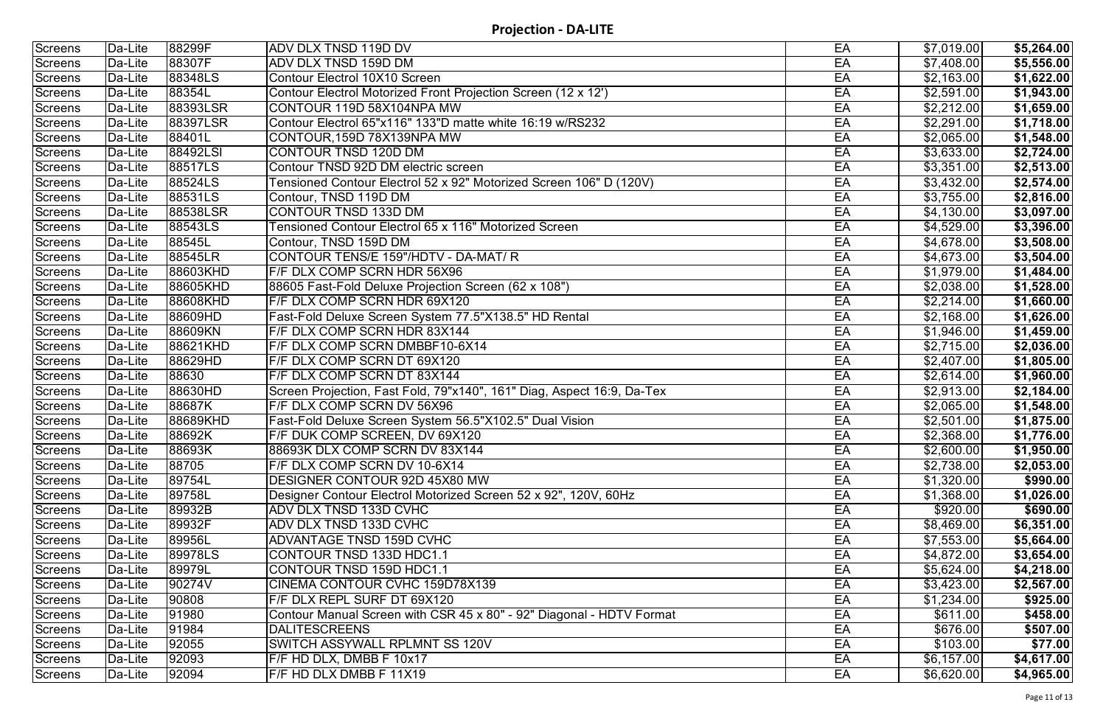| Screens        | Da-Lite | 88299F   | <b>ADV DLX TNSD 119D DV</b>                                            | EA | \$7,019.00 | \$5,264.00 |
|----------------|---------|----------|------------------------------------------------------------------------|----|------------|------------|
| <b>Screens</b> | Da-Lite | 88307F   | ADV DLX TNSD 159D DM                                                   | EA | \$7,408.00 | \$5,556.00 |
| Screens        | Da-Lite | 88348LS  | Contour Electrol 10X10 Screen                                          | EA | \$2,163.00 | \$1,622.00 |
| <b>Screens</b> | Da-Lite | 88354L   | Contour Electrol Motorized Front Projection Screen (12 x 12')          | EA | \$2,591.00 | \$1,943.00 |
| <b>Screens</b> | Da-Lite | 88393LSR | CONTOUR 119D 58X104NPA MW                                              | EA | \$2,212.00 | \$1,659.00 |
| <b>Screens</b> | Da-Lite | 88397LSR | Contour Electrol 65"x116" 133"D matte white 16:19 w/RS232              | EA | \$2,291.00 | \$1,718.00 |
| Screens        | Da-Lite | 88401L   | CONTOUR,159D 78X139NPA MW                                              | EA | \$2,065.00 | \$1,548.00 |
| Screens        | Da-Lite | 88492LSI | CONTOUR TNSD 120D DM                                                   | EA | \$3,633.00 | \$2,724.00 |
| Screens        | Da-Lite | 88517LS  | Contour TNSD 92D DM electric screen                                    | EA | \$3,351.00 | \$2,513.00 |
| <b>Screens</b> | Da-Lite | 88524LS  | Tensioned Contour Electrol 52 x 92" Motorized Screen 106" D (120V)     | EA | \$3,432.00 | \$2,574.00 |
| <b>Screens</b> | Da-Lite | 88531LS  | Contour, TNSD 119D DM                                                  | EA | \$3,755.00 | \$2,816.00 |
| <b>Screens</b> | Da-Lite | 88538LSR | CONTOUR TNSD 133D DM                                                   | EA | \$4,130.00 | \$3,097.00 |
| <b>Screens</b> | Da-Lite | 88543LS  | Tensioned Contour Electrol 65 x 116" Motorized Screen                  | EA | \$4,529.00 | \$3,396.00 |
| <b>Screens</b> | Da-Lite | 88545L   | Contour, TNSD 159D DM                                                  | EA | \$4,678.00 | \$3,508.00 |
| Screens        | Da-Lite | 88545LR  | CONTOUR TENS/E 159"/HDTV - DA-MAT/ R                                   | EA | \$4,673.00 | \$3,504.00 |
| <b>Screens</b> | Da-Lite | 88603KHD | F/F DLX COMP SCRN HDR 56X96                                            | EA | \$1,979.00 | \$1,484.00 |
| <b>Screens</b> | Da-Lite | 88605KHD | 88605 Fast-Fold Deluxe Projection Screen (62 x 108")                   | EA | \$2,038.00 | \$1,528.00 |
| <b>Screens</b> | Da-Lite | 88608KHD | F/F DLX COMP SCRN HDR 69X120                                           | EA | \$2,214.00 | \$1,660.00 |
| Screens        | Da-Lite | 88609HD  | Fast-Fold Deluxe Screen System 77.5"X138.5" HD Rental                  | EA | \$2,168.00 | \$1,626.00 |
| Screens        | Da-Lite | 88609KN  | F/F DLX COMP SCRN HDR 83X144                                           | EA | \$1,946.00 | \$1,459.00 |
| Screens        | Da-Lite | 88621KHD | F/F DLX COMP SCRN DMBBF10-6X14                                         | EA | \$2,715.00 | \$2,036.00 |
| <b>Screens</b> | Da-Lite | 88629HD  | F/F DLX COMP SCRN DT 69X120                                            | EA | \$2,407.00 | \$1,805.00 |
| Screens        | Da-Lite | 88630    | F/F DLX COMP SCRN DT 83X144                                            | EA | \$2,614.00 | \$1,960.00 |
| <b>Screens</b> | Da-Lite | 88630HD  | Screen Projection, Fast Fold, 79"x140", 161" Diag, Aspect 16:9, Da-Tex | EA | \$2,913.00 | \$2,184.00 |
| <b>Screens</b> | Da-Lite | 88687K   | F/F DLX COMP SCRN DV 56X96                                             | EA | \$2,065.00 | \$1,548.00 |
| <b>Screens</b> | Da-Lite | 88689KHD | Fast-Fold Deluxe Screen System 56.5"X102.5" Dual Vision                | EA | \$2,501.00 | \$1,875.00 |
| Screens        | Da-Lite | 88692K   | F/F DUK COMP SCREEN, DV 69X120                                         | EA | \$2,368.00 | \$1,776.00 |
| Screens        | Da-Lite | 88693K   | 88693K DLX COMP SCRN DV 83X144                                         | EA | \$2,600.00 | \$1,950.00 |
| Screens        | Da-Lite | 88705    | F/F DLX COMP SCRN DV 10-6X14                                           | EA | \$2,738.00 | \$2,053.00 |
| Screens        | Da-Lite | 89754L   | DESIGNER CONTOUR 92D 45X80 MW                                          | EA | \$1,320.00 | \$990.00   |
| Screens        | Da-Lite | 89758L   | Designer Contour Electrol Motorized Screen 52 x 92", 120V, 60Hz        | EA | \$1,368.00 | \$1,026.00 |
| Screens        | Da-Lite | 89932B   | ADV DLX TNSD 133D CVHC                                                 | EA | \$920.00   | \$690.00   |
| <b>Screens</b> | Da-Lite | 89932F   | ADV DLX TNSD 133D CVHC                                                 | EA | \$8,469.00 | \$6,351.00 |
| Screens        | Da-Lite | 89956L   | ADVANTAGE TNSD 159D CVHC                                               | EA | \$7,553.00 | \$5,664.00 |
| Screens        | Da-Lite | 89978LS  | CONTOUR TNSD 133D HDC1.1                                               | EA | \$4,872.00 | \$3,654.00 |
| Screens        | Da-Lite | 89979L   | CONTOUR TNSD 159D HDC1.1                                               | EA | \$5,624.00 | \$4,218.00 |
| Screens        | Da-Lite | 90274V   | CINEMA CONTOUR CVHC 159D78X139                                         | EA | \$3,423.00 | \$2,567.00 |
| <b>Screens</b> | Da-Lite | 90808    | F/F DLX REPL SURF DT 69X120                                            | EA | \$1,234.00 | \$925.00   |
| Screens        | Da-Lite | 91980    | Contour Manual Screen with CSR 45 x 80" - 92" Diagonal - HDTV Format   | EA | \$611.00   | \$458.00   |
| Screens        | Da-Lite | 91984    | <b>DALITESCREENS</b>                                                   | EA | \$676.00   | \$507.00   |
| <b>Screens</b> | Da-Lite | 92055    | SWITCH ASSYWALL RPLMNT SS 120V                                         | EA | \$103.00   | \$77.00    |
| Screens        | Da-Lite | 92093    | F/F HD DLX, DMBB F 10x17                                               | EA | \$6,157.00 | \$4,617.00 |
| Screens        | Da-Lite | 92094    | F/F HD DLX DMBB F 11X19                                                | EA | \$6,620.00 | \$4,965.00 |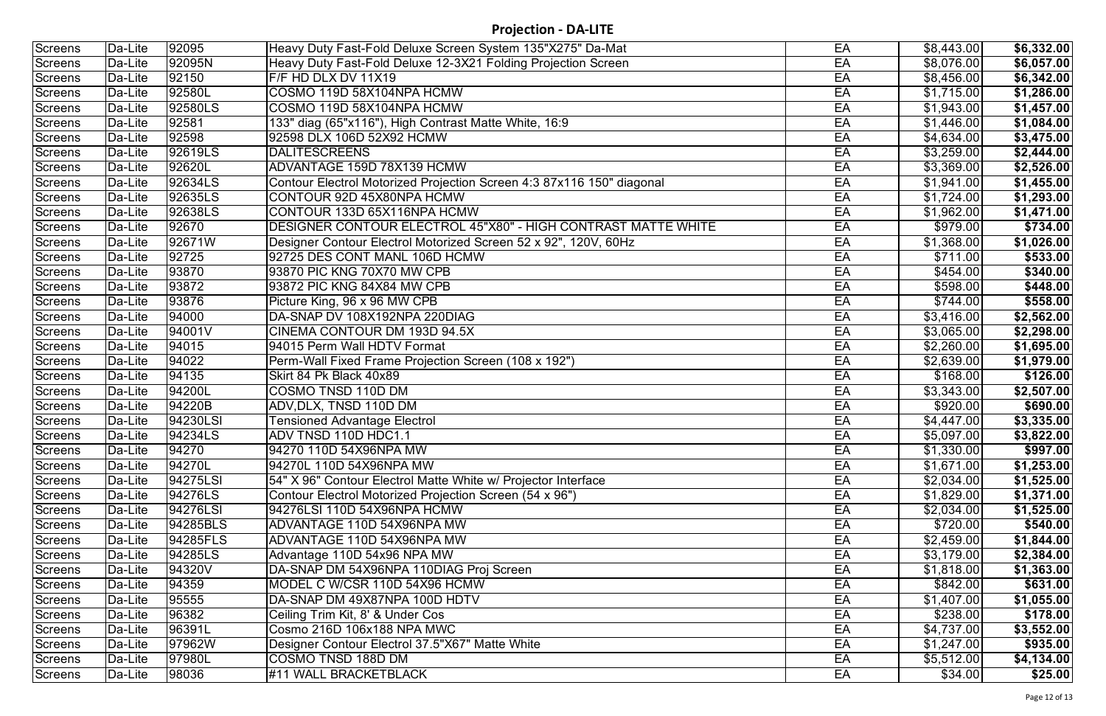| Screens        | Da-Lite               | 92095               | Heavy Duty Fast-Fold Deluxe Screen System 135"X275" Da-Mat            | EA | \$8,443.00       | \$6,332.00             |
|----------------|-----------------------|---------------------|-----------------------------------------------------------------------|----|------------------|------------------------|
| <b>Screens</b> | Da-Lite               | 92095N              | Heavy Duty Fast-Fold Deluxe 12-3X21 Folding Projection Screen         | EA | \$8,076.00       | \$6,057.00             |
| Screens        | Da-Lite               | 92150               | F/F HD DLX DV 11X19                                                   | EA | \$8,456.00       | \$6,342.00             |
| Screens        | Da-Lite               | 92580L              | COSMO 119D 58X104NPA HCMW                                             | EA | \$1,715.00       | \$1,286.00             |
| Screens        | Da-Lite               | 92580LS             | COSMO 119D 58X104NPA HCMW                                             | EA | \$1,943.00       | \$1,457.00             |
| Screens        | Da-Lite               | 92581               | 133" diag (65"x116"), High Contrast Matte White, 16:9                 | EA | \$1,446.00       | \$1,084.00             |
| <b>Screens</b> | Da-Lite               | 92598               | 92598 DLX 106D 52X92 HCMW                                             | EA | \$4,634.00       | \$3,475.00             |
| Screens        | Da-Lite               | 92619LS             | <b>DALITESCREENS</b>                                                  | EA | \$3,259.00       | \$2,444.00             |
| Screens        | Da-Lite               | 92620L              | ADVANTAGE 159D 78X139 HCMW                                            | EA | \$3,369.00       | \$2,526.00             |
| Screens        | Da-Lite               | 92634LS             | Contour Electrol Motorized Projection Screen 4:3 87x116 150" diagonal | EA | \$1,941.00       | \$1,455.00             |
| Screens        | Da-Lite               | 92635LS             | CONTOUR 92D 45X80NPA HCMW                                             | EA | \$1,724.00       | \$1,293.00             |
| Screens        | Da-Lite               | 92638LS             | CONTOUR 133D 65X116NPA HCMW                                           | EA | \$1,962.00       | \$1,471.00             |
| Screens        | Da-Lite               | 92670               | DESIGNER CONTOUR ELECTROL 45"X80" - HIGH CONTRAST MATTE WHITE         | EA | \$979.00         | \$734.00               |
| Screens        | Da-Lite               | 92671W              | Designer Contour Electrol Motorized Screen 52 x 92", 120V, 60Hz       | EA | \$1,368.00       | $\overline{$1,026.00}$ |
| Screens        | Da-Lite               | 92725               | 92725 DES CONT MANL 106D HCMW                                         | EA | \$711.00         | \$533.00               |
| Screens        | Da-Lite               | 93870               | 93870 PIC KNG 70X70 MW CPB                                            | EA | \$454.00         | \$340.00               |
| Screens        | Da-Lite               | 93872               | 93872 PIC KNG 84X84 MW CPB                                            | EA | \$598.00         | \$448.00               |
| Screens        | Da-Lite               | $\sqrt{9}3876$      | Picture King, 96 x 96 MW CPB                                          | EA | \$744.00         | \$558.00               |
| Screens        | Da-Lite               | 94000               | DA-SNAP DV 108X192NPA 220DIAG                                         | EA | \$3,416.00       | \$2,562.00             |
| Screens        | Da-Lite               | 94001V              | CINEMA CONTOUR DM 193D 94.5X                                          | EA | \$3,065.00       | \$2,298.00             |
| Screens        | Da-Lite               | 94015               | 94015 Perm Wall HDTV Format                                           | EA | \$2,260.00       | \$1,695.00             |
| Screens        | Da-Lite               | 94022               | Perm-Wall Fixed Frame Projection Screen (108 x 192")                  | EA | \$2,639.00       | \$1,979.00             |
| Screens        | Da-Lite               | 94135               | Skirt 84 Pk Black 40x89                                               | EA | \$168.00         | \$126.00               |
| Screens        | Da-Lite               | 94200L              | COSMO TNSD 110D DM                                                    | EA | \$3,343.00       | \$2,507.00             |
| Screens        | $\overline{D}a$ -Lite | $\overline{94220B}$ | ADV, DLX, TNSD 110D DM                                                | EA | \$920.00         | \$690.00               |
| Screens        | Da-Lite               | 94230LSI            | <b>Tensioned Advantage Electrol</b>                                   | EA | \$4,447.00       | \$3,335.00             |
| Screens        | Da-Lite               | 94234LS             | ADV TNSD 110D HDC1.1                                                  | EA | \$5,097.00       | \$3,822.00             |
| Screens        | Da-Lite               | 94270               | 94270 110D 54X96NPA MW                                                | EA | \$1,330.00       | \$997.00               |
| Screens        | Da-Lite               | 94270L              | 94270L 110D 54X96NPA MW                                               | EA | \$1,671.00       | \$1,253.00             |
| Screens        | Da-Lite               | 94275LSI            | 54" X 96" Contour Electrol Matte White w/ Projector Interface         | EA | \$2,034.00       | \$1,525.00             |
| Screens        | Da-Lite               | 94276LS             | Contour Electrol Motorized Projection Screen (54 x 96")               | EA | \$1,829.00       | \$1,371.00             |
| Screens        | Da-Lite               | 94276LSI            | 94276LSI 110D 54X96NPA HCMW                                           | EA | \$2,034.00       | \$1,525.00             |
| Screens        | Da-Lite               | 94285BLS            | ADVANTAGE 110D 54X96NPA MW                                            | EA | $\sqrt{$720.00}$ | \$540.00               |
| Screens        | Da-Lite               | 194285FLS           | ADVANTAGE 110D 54X96NPA MW                                            | EA | \$2,459.00       | \$1,844.00             |
| Screens        | Da-Lite               | 94285LS             | Advantage 110D 54x96 NPA MW                                           | EA | \$3,179.00       | \$2,384.00             |
| Screens        | Da-Lite               | 94320V              | DA-SNAP DM 54X96NPA 110DIAG Proj Screen                               | EA | \$1,818.00       | \$1,363.00             |
| Screens        | Da-Lite               | 94359               | MODEL C W/CSR 110D 54X96 HCMW                                         | EA | \$842.00         | \$631.00               |
| Screens        | Da-Lite               | 95555               | DA-SNAP DM 49X87NPA 100D HDTV                                         | EA | \$1,407.00       | \$1,055.00             |
| Screens        | Da-Lite               | 96382               | Ceiling Trim Kit, 8' & Under Cos                                      | EA | \$238.00         | \$178.00               |
| Screens        | Da-Lite               | 96391L              | Cosmo 216D 106x188 NPA MWC                                            | EA | \$4,737.00       | \$3,552.00             |
| Screens        | Da-Lite               | 97962W              | Designer Contour Electrol 37.5"X67" Matte White                       | EA | \$1,247.00       | \$935.00               |
| Screens        | Da-Lite               | 97980L              | COSMO TNSD 188D DM                                                    | EA | \$5,512.00       | \$4,134.00             |
| Screens        | Da-Lite               | 98036               | #11 WALL BRACKETBLACK                                                 | EA | \$34.00          | \$25.00                |